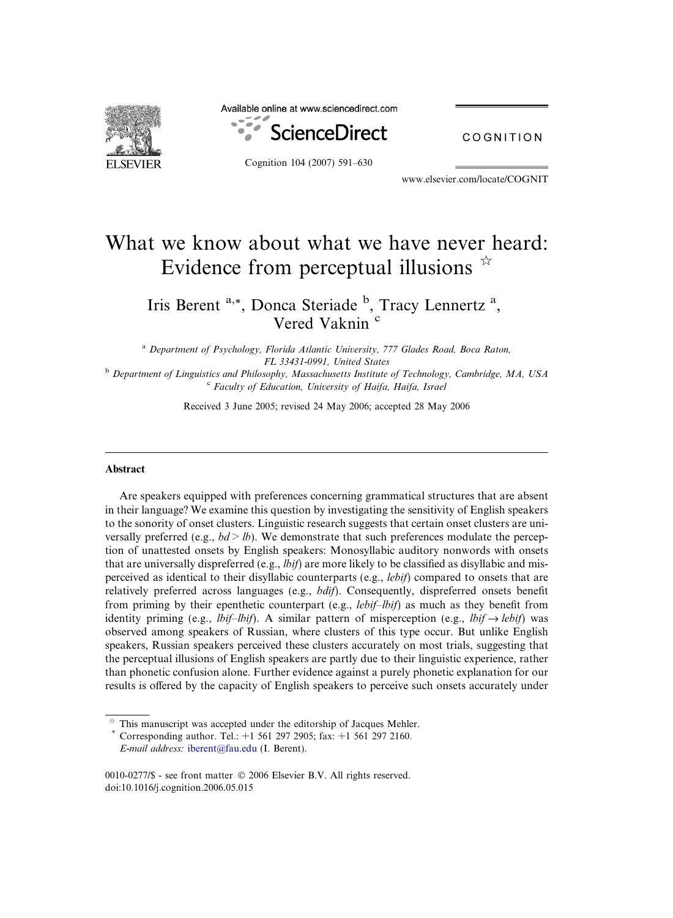

Available online at www.sciencedirect.com



Cognition 104 (2007) 591–630

COGNITION

www.elsevier.com/locate/COGNIT

# What we know about what we have never heard: Evidence from perceptual illusions  $\dot{\alpha}$

Iris Berent <sup>a,\*</sup>, Donca Steriade <sup>b</sup>, Tracy Lennertz<sup>a</sup>, Vered Vaknin<sup>c</sup>

<sup>a</sup> Department of Psychology, Florida Atlantic University, 777 Glades Road, Boca Raton, FL 33431-0991, United States

<sup>b</sup> Department of Linguistics and Philosophy, Massachusetts Institute of Technology, Cambridge, MA, USA  $c$  Faculty of Education, University of Haifa, Haifa, Israel

Received 3 June 2005; revised 24 May 2006; accepted 28 May 2006

#### Abstract

Are speakers equipped with preferences concerning grammatical structures that are absent in their language? We examine this question by investigating the sensitivity of English speakers to the sonority of onset clusters. Linguistic research suggests that certain onset clusters are universally preferred (e.g.,  $bd > lb$ ). We demonstrate that such preferences modulate the perception of unattested onsets by English speakers: Monosyllabic auditory nonwords with onsets that are universally dispreferred (e.g., *lbif*) are more likely to be classified as disyllabic and misperceived as identical to their disyllabic counterparts (e.g., *lebif*) compared to onsets that are relatively preferred across languages (e.g., *bdif*). Consequently, dispreferred onsets benefit from priming by their epenthetic counterpart (e.g., *lebif-lbif*) as much as they benefit from identity priming (e.g., *lbif–lbif*). A similar pattern of misperception (e.g., *lbif*  $\rightarrow$  *lebif*) was observed among speakers of Russian, where clusters of this type occur. But unlike English speakers, Russian speakers perceived these clusters accurately on most trials, suggesting that the perceptual illusions of English speakers are partly due to their linguistic experience, rather than phonetic confusion alone. Further evidence against a purely phonetic explanation for our results is offered by the capacity of English speakers to perceive such onsets accurately under

 $*$  This manuscript was accepted under the editorship of Jacques Mehler.  $*$  Corresponding author. Tel.:  $+1$  561 297 2905; fax:  $+1$  561 297 2160. E-mail address: [iberent@fau.edu](mailto:iberent@fau.edu) (I. Berent).

<sup>0010-0277/\$ -</sup> see front matter © 2006 Elsevier B.V. All rights reserved. doi:10.1016/j.cognition.2006.05.015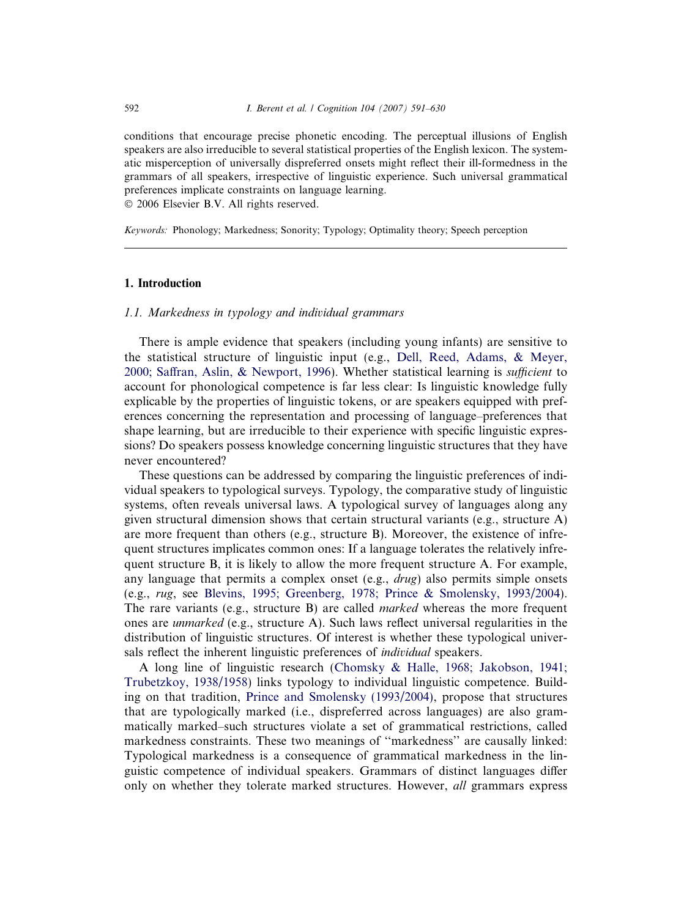conditions that encourage precise phonetic encoding. The perceptual illusions of English speakers are also irreducible to several statistical properties of the English lexicon. The systematic misperception of universally dispreferred onsets might reflect their ill-formedness in the grammars of all speakers, irrespective of linguistic experience. Such universal grammatical preferences implicate constraints on language learning. © 2006 Elsevier B.V. All rights reserved.

Keywords: Phonology; Markedness; Sonority; Typology; Optimality theory; Speech perception

#### 1. Introduction

# 1.1. Markedness in typology and individual grammars

There is ample evidence that speakers (including young infants) are sensitive to the statistical structure of linguistic input (e.g., [Dell, Reed, Adams, & Meyer,](#page-37-0) [2000; Saffran, Aslin, & Newport, 1996\)](#page-37-0). Whether statistical learning is sufficient to account for phonological competence is far less clear: Is linguistic knowledge fully explicable by the properties of linguistic tokens, or are speakers equipped with preferences concerning the representation and processing of language–preferences that shape learning, but are irreducible to their experience with specific linguistic expressions? Do speakers possess knowledge concerning linguistic structures that they have never encountered?

These questions can be addressed by comparing the linguistic preferences of individual speakers to typological surveys. Typology, the comparative study of linguistic systems, often reveals universal laws. A typological survey of languages along any given structural dimension shows that certain structural variants (e.g., structure A) are more frequent than others (e.g., structure B). Moreover, the existence of infrequent structures implicates common ones: If a language tolerates the relatively infrequent structure B, it is likely to allow the more frequent structure A. For example, any language that permits a complex onset (e.g.,  $drug$ ) also permits simple onsets (e.g., rug, see [Blevins, 1995; Greenberg, 1978; Prince & Smolensky, 1993/2004](#page-36-0)). The rare variants (e.g., structure B) are called *marked* whereas the more frequent ones are unmarked (e.g., structure A). Such laws reflect universal regularities in the distribution of linguistic structures. Of interest is whether these typological universals reflect the inherent linguistic preferences of individual speakers.

A long line of linguistic research ([Chomsky & Halle, 1968; Jakobson, 1941;](#page-37-0) [Trubetzkoy, 1938/1958\)](#page-37-0) links typology to individual linguistic competence. Building on that tradition, [Prince and Smolensky \(1993/2004\),](#page-38-0) propose that structures that are typologically marked (i.e., dispreferred across languages) are also grammatically marked–such structures violate a set of grammatical restrictions, called markedness constraints. These two meanings of ''markedness'' are causally linked: Typological markedness is a consequence of grammatical markedness in the linguistic competence of individual speakers. Grammars of distinct languages differ only on whether they tolerate marked structures. However, all grammars express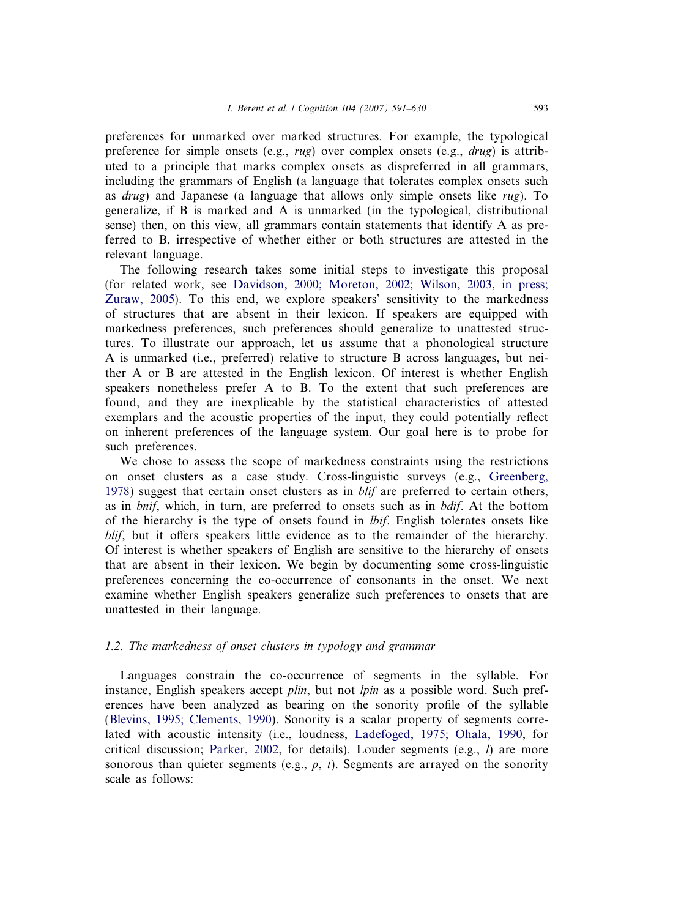preferences for unmarked over marked structures. For example, the typological preference for simple onsets (e.g., rug) over complex onsets (e.g., drug) is attributed to a principle that marks complex onsets as dispreferred in all grammars, including the grammars of English (a language that tolerates complex onsets such as *drug*) and Japanese (a language that allows only simple onsets like  $rug$ ). To generalize, if B is marked and A is unmarked (in the typological, distributional sense) then, on this view, all grammars contain statements that identify A as preferred to B, irrespective of whether either or both structures are attested in the relevant language.

The following research takes some initial steps to investigate this proposal (for related work, see [Davidson, 2000; Moreton, 2002; Wilson, 2003, in press;](#page-37-0) [Zuraw, 2005](#page-37-0)). To this end, we explore speakers' sensitivity to the markedness of structures that are absent in their lexicon. If speakers are equipped with markedness preferences, such preferences should generalize to unattested structures. To illustrate our approach, let us assume that a phonological structure A is unmarked (i.e., preferred) relative to structure B across languages, but neither A or B are attested in the English lexicon. Of interest is whether English speakers nonetheless prefer A to B. To the extent that such preferences are found, and they are inexplicable by the statistical characteristics of attested exemplars and the acoustic properties of the input, they could potentially reflect on inherent preferences of the language system. Our goal here is to probe for such preferences.

We chose to assess the scope of markedness constraints using the restrictions on onset clusters as a case study. Cross-linguistic surveys (e.g., [Greenberg,](#page-37-0) [1978\)](#page-37-0) suggest that certain onset clusters as in *blif* are preferred to certain others, as in bnif, which, in turn, are preferred to onsets such as in bdif. At the bottom of the hierarchy is the type of onsets found in lbif. English tolerates onsets like blif, but it offers speakers little evidence as to the remainder of the hierarchy. Of interest is whether speakers of English are sensitive to the hierarchy of onsets that are absent in their lexicon. We begin by documenting some cross-linguistic preferences concerning the co-occurrence of consonants in the onset. We next examine whether English speakers generalize such preferences to onsets that are unattested in their language.

## 1.2. The markedness of onset clusters in typology and grammar

Languages constrain the co-occurrence of segments in the syllable. For instance, English speakers accept *plin*, but not *lpin* as a possible word. Such preferences have been analyzed as bearing on the sonority profile of the syllable [\(Blevins, 1995; Clements, 1990\)](#page-36-0). Sonority is a scalar property of segments correlated with acoustic intensity (i.e., loudness, [Ladefoged, 1975; Ohala, 1990,](#page-38-0) for critical discussion; [Parker, 2002](#page-38-0), for details). Louder segments (e.g.,  $l$ ) are more sonorous than quieter segments (e.g.,  $p$ ,  $t$ ). Segments are arrayed on the sonority scale as follows: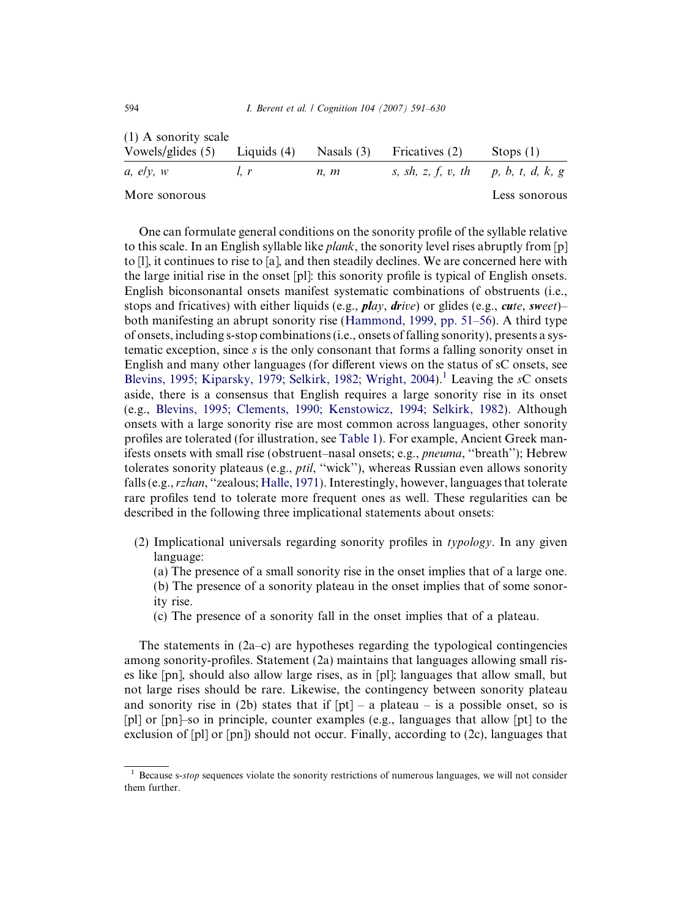(1) A sonority scale

| Vowels/glides $(5)$ | Liquids (4) | Nasals (3) | Fricatives (2)                      | Stops $(1)$   |
|---------------------|-------------|------------|-------------------------------------|---------------|
| a, e/v, w           | l, r        | n. m       | s, sh, z, f, v, th p, b, t, d, k, g |               |
| More sonorous       |             |            |                                     | Less sonorous |

One can formulate general conditions on the sonority profile of the syllable relative to this scale. In an English syllable like *plank*, the sonority level rises abruptly from [p] to [l], it continues to rise to [a], and then steadily declines. We are concerned here with the large initial rise in the onset [pl]: this sonority profile is typical of English onsets. English biconsonantal onsets manifest systematic combinations of obstruents (i.e., stops and fricatives) with either liquids (e.g., **play**, **drive**) or glides (e.g., **cute**, **sweet**)– both manifesting an abrupt sonority rise [\(Hammond, 1999, pp. 51–56\)](#page-37-0). A third type of onsets, including s-stop combinations (i.e., onsets of falling sonority), presents a systematic exception, since s is the only consonant that forms a falling sonority onset in English and many other languages (for different views on the status of sC onsets, see [Blevins, 1995; Kiparsky, 1979; Selkirk, 1982; Wright, 2004](#page-36-0)).<sup>1</sup> Leaving the  $sC$  onsets aside, there is a consensus that English requires a large sonority rise in its onset (e.g., [Blevins, 1995; Clements, 1990; Kenstowicz, 1994; Selkirk, 1982\)](#page-36-0). Although onsets with a large sonority rise are most common across languages, other sonority profiles are tolerated (for illustration, see [Table 1](#page-4-0)). For example, Ancient Greek manifests onsets with small rise (obstruent–nasal onsets; e.g., pneuma, ''breath''); Hebrew tolerates sonority plateaus (e.g., *ptil*, "wick"), whereas Russian even allows sonority falls (e.g., rzhan, "zealous; [Halle, 1971\)](#page-37-0). Interestingly, however, languages that tolerate rare profiles tend to tolerate more frequent ones as well. These regularities can be described in the following three implicational statements about onsets:

- (2) Implicational universals regarding sonority profiles in typology. In any given language:
	- (a) The presence of a small sonority rise in the onset implies that of a large one.
	- (b) The presence of a sonority plateau in the onset implies that of some sonority rise.
	- (c) The presence of a sonority fall in the onset implies that of a plateau.

The statements in  $(2a-c)$  are hypotheses regarding the typological contingencies among sonority-profiles. Statement (2a) maintains that languages allowing small rises like [pn], should also allow large rises, as in [pl]; languages that allow small, but not large rises should be rare. Likewise, the contingency between sonority plateau and sonority rise in (2b) states that if  $[pt]$  – a plateau – is a possible onset, so is [pl] or [pn]–so in principle, counter examples (e.g., languages that allow [pt] to the exclusion of  $[p]$  or  $[pn]$ ) should not occur. Finally, according to (2c), languages that

<sup>&</sup>lt;sup>1</sup> Because s-stop sequences violate the sonority restrictions of numerous languages, we will not consider them further.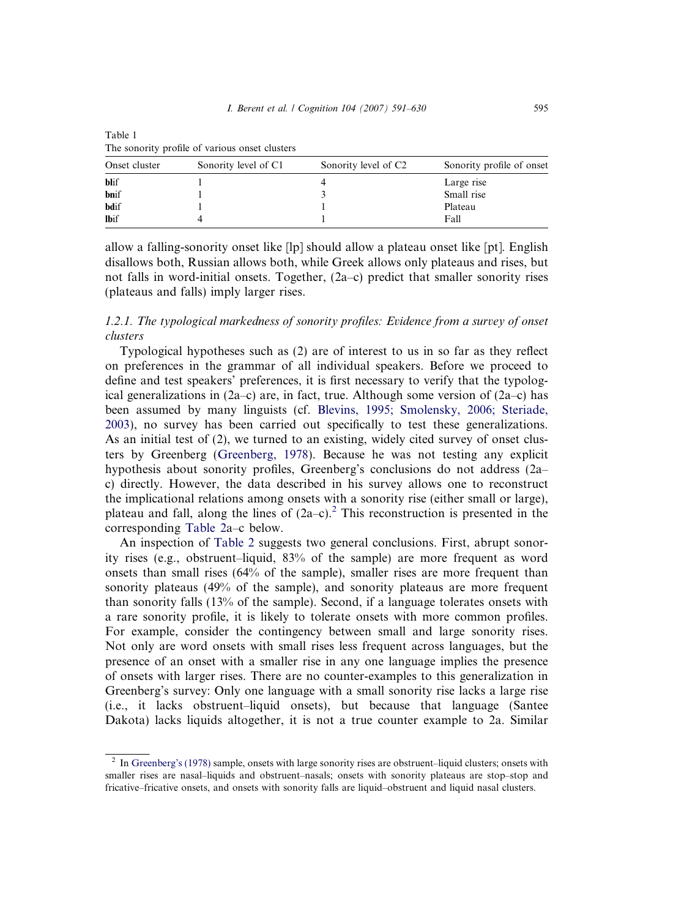| Onset cluster | Sonority level of C1 | Sonority level of C <sub>2</sub> | Sonority profile of onset |
|---------------|----------------------|----------------------------------|---------------------------|
| blif          |                      |                                  | Large rise                |
| bnif          |                      |                                  | Small rise                |
| bdif          |                      |                                  | Plateau                   |
| <b>lbif</b>   |                      |                                  | Fall                      |

<span id="page-4-0"></span>Table 1 The sonority profile of various onset clusters

allow a falling-sonority onset like [lp] should allow a plateau onset like [pt]. English disallows both, Russian allows both, while Greek allows only plateaus and rises, but not falls in word-initial onsets. Together, (2a–c) predict that smaller sonority rises (plateaus and falls) imply larger rises.

1.2.1. The typological markedness of sonority profiles: Evidence from a survey of onset clusters

Typological hypotheses such as (2) are of interest to us in so far as they reflect on preferences in the grammar of all individual speakers. Before we proceed to define and test speakers' preferences, it is first necessary to verify that the typological generalizations in  $(2a-c)$  are, in fact, true. Although some version of  $(2a-c)$  has been assumed by many linguists (cf. [Blevins, 1995; Smolensky, 2006; Steriade,](#page-36-0) [2003\)](#page-36-0), no survey has been carried out specifically to test these generalizations. As an initial test of (2), we turned to an existing, widely cited survey of onset clusters by Greenberg [\(Greenberg, 1978\)](#page-37-0). Because he was not testing any explicit hypothesis about sonority profiles, Greenberg's conclusions do not address (2a– c) directly. However, the data described in his survey allows one to reconstruct the implicational relations among onsets with a sonority rise (either small or large), plateau and fall, along the lines of  $(2a-c)$ .<sup>2</sup> This reconstruction is presented in the corresponding [Table 2](#page-5-0)a–c below.

An inspection of [Table 2](#page-5-0) suggests two general conclusions. First, abrupt sonority rises (e.g., obstruent–liquid, 83% of the sample) are more frequent as word onsets than small rises (64% of the sample), smaller rises are more frequent than sonority plateaus (49% of the sample), and sonority plateaus are more frequent than sonority falls (13% of the sample). Second, if a language tolerates onsets with a rare sonority profile, it is likely to tolerate onsets with more common profiles. For example, consider the contingency between small and large sonority rises. Not only are word onsets with small rises less frequent across languages, but the presence of an onset with a smaller rise in any one language implies the presence of onsets with larger rises. There are no counter-examples to this generalization in Greenberg's survey: Only one language with a small sonority rise lacks a large rise (i.e., it lacks obstruent–liquid onsets), but because that language (Santee Dakota) lacks liquids altogether, it is not a true counter example to 2a. Similar

<sup>&</sup>lt;sup>2</sup> In [Greenberg's \(1978\)](#page-37-0) sample, onsets with large sonority rises are obstruent–liquid clusters; onsets with smaller rises are nasal–liquids and obstruent–nasals; onsets with sonority plateaus are stop–stop and fricative–fricative onsets, and onsets with sonority falls are liquid–obstruent and liquid nasal clusters.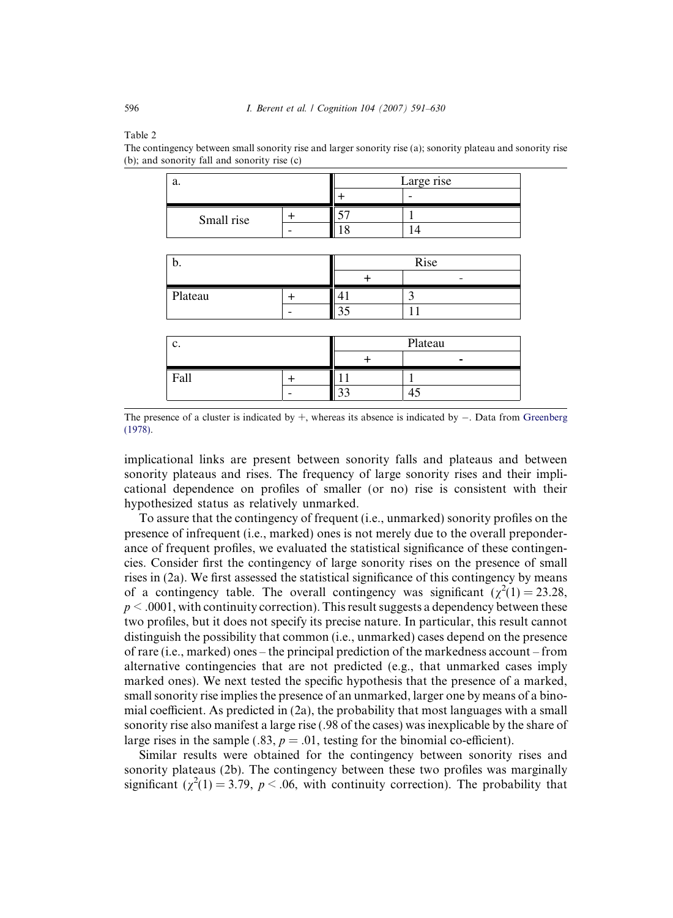<span id="page-5-0"></span>

The contingency between small sonority rise and larger sonority rise (a); sonority plateau and sonority rise (b); and sonority fall and sonority rise (c)

| a.         |           | Large rise      |         |  |  |
|------------|-----------|-----------------|---------|--|--|
|            |           | $\ddot{}$       |         |  |  |
| Small rise | $\ddot{}$ | 57              | 1       |  |  |
|            |           | 18              | 14      |  |  |
|            |           |                 |         |  |  |
| b.         |           |                 | Rise    |  |  |
|            |           | $\ddot{}$       |         |  |  |
| Plateau    | $\pm$     | 41              | 3       |  |  |
|            |           | 35              | 11      |  |  |
|            |           |                 |         |  |  |
|            |           |                 |         |  |  |
| c.         |           |                 | Plateau |  |  |
|            |           | $^{+}$          |         |  |  |
| Fall       | $\pm$     | 11              |         |  |  |
|            |           | $\overline{33}$ | 45      |  |  |

The presence of a cluster is indicated by  $+$ , whereas its absence is indicated by  $-$ . Data from [Greenberg](#page-37-0) [\(1978\).](#page-37-0)

implicational links are present between sonority falls and plateaus and between sonority plateaus and rises. The frequency of large sonority rises and their implicational dependence on profiles of smaller (or no) rise is consistent with their hypothesized status as relatively unmarked.

To assure that the contingency of frequent (i.e., unmarked) sonority profiles on the presence of infrequent (i.e., marked) ones is not merely due to the overall preponderance of frequent profiles, we evaluated the statistical significance of these contingencies. Consider first the contingency of large sonority rises on the presence of small rises in (2a). We first assessed the statistical significance of this contingency by means of a contingency table. The overall contingency was significant  $(\chi^2(1) = 23.28$ ,  $p < .0001$ , with continuity correction). This result suggests a dependency between these two profiles, but it does not specify its precise nature. In particular, this result cannot distinguish the possibility that common (i.e., unmarked) cases depend on the presence of rare (i.e., marked) ones – the principal prediction of the markedness account – from alternative contingencies that are not predicted (e.g., that unmarked cases imply marked ones). We next tested the specific hypothesis that the presence of a marked, small sonority rise implies the presence of an unmarked, larger one by means of a binomial coefficient. As predicted in (2a), the probability that most languages with a small sonority rise also manifest a large rise (.98 of the cases) was inexplicable by the share of large rises in the sample (.83,  $p = .01$ , testing for the binomial co-efficient).

Similar results were obtained for the contingency between sonority rises and sonority plateaus (2b). The contingency between these two profiles was marginally significant ( $\chi^2(1) = 3.79$ ,  $p < .06$ , with continuity correction). The probability that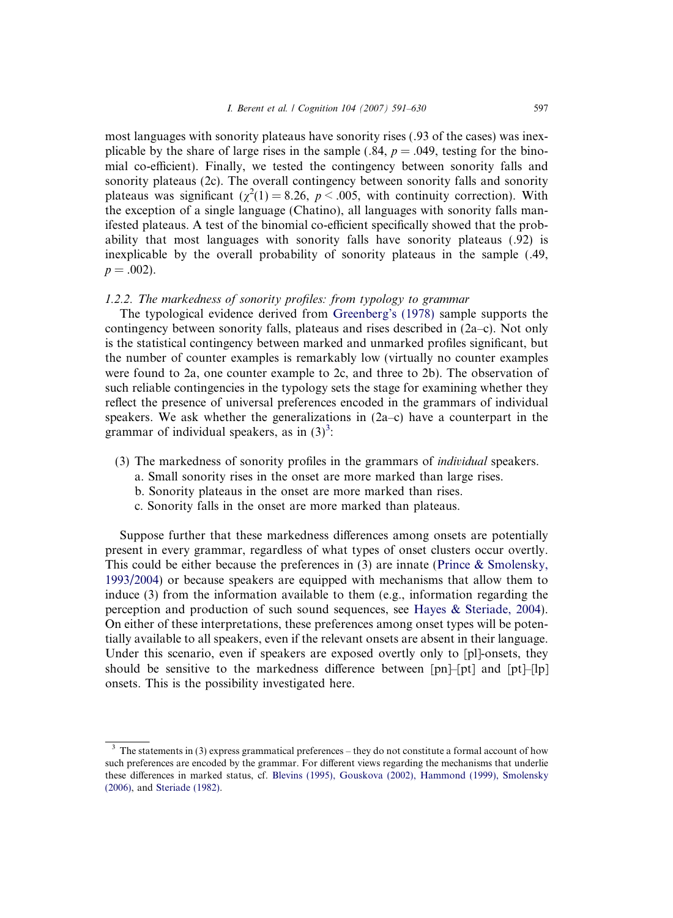most languages with sonority plateaus have sonority rises (.93 of the cases) was inexplicable by the share of large rises in the sample (.84,  $p = .049$ , testing for the binomial co-efficient). Finally, we tested the contingency between sonority falls and sonority plateaus (2c). The overall contingency between sonority falls and sonority plateaus was significant ( $\chi^2(1) = 8.26$ ,  $p < .005$ , with continuity correction). With the exception of a single language (Chatino), all languages with sonority falls manifested plateaus. A test of the binomial co-efficient specifically showed that the probability that most languages with sonority falls have sonority plateaus (.92) is inexplicable by the overall probability of sonority plateaus in the sample (.49,  $p = .002$ ).

#### 1.2.2. The markedness of sonority profiles: from typology to grammar

The typological evidence derived from [Greenberg's \(1978\)](#page-37-0) sample supports the contingency between sonority falls, plateaus and rises described in (2a–c). Not only is the statistical contingency between marked and unmarked profiles significant, but the number of counter examples is remarkably low (virtually no counter examples were found to 2a, one counter example to 2c, and three to 2b). The observation of such reliable contingencies in the typology sets the stage for examining whether they reflect the presence of universal preferences encoded in the grammars of individual speakers. We ask whether the generalizations in  $(2a-c)$  have a counterpart in the grammar of individual speakers, as in  $(3)^3$ :

- (3) The markedness of sonority profiles in the grammars of individual speakers.
	- a. Small sonority rises in the onset are more marked than large rises.
	- b. Sonority plateaus in the onset are more marked than rises.
	- c. Sonority falls in the onset are more marked than plateaus.

Suppose further that these markedness differences among onsets are potentially present in every grammar, regardless of what types of onset clusters occur overtly. This could be either because the preferences in  $(3)$  are innate ([Prince & Smolensky,](#page-38-0) [1993/2004\)](#page-38-0) or because speakers are equipped with mechanisms that allow them to induce (3) from the information available to them (e.g., information regarding the perception and production of such sound sequences, see [Hayes & Steriade, 2004\)](#page-37-0). On either of these interpretations, these preferences among onset types will be potentially available to all speakers, even if the relevant onsets are absent in their language. Under this scenario, even if speakers are exposed overtly only to [pl]-onsets, they should be sensitive to the markedness difference between  $[pn]-[pt]$  and  $[pt]-[lp]$ onsets. This is the possibility investigated here.

<sup>&</sup>lt;sup>3</sup> The statements in (3) express grammatical preferences – they do not constitute a formal account of how such preferences are encoded by the grammar. For different views regarding the mechanisms that underlie these differences in marked status, cf. [Blevins \(1995\), Gouskova \(2002\), Hammond \(1999\), Smolensky](#page-36-0) [\(2006\)](#page-36-0), and [Steriade \(1982\).](#page-39-0)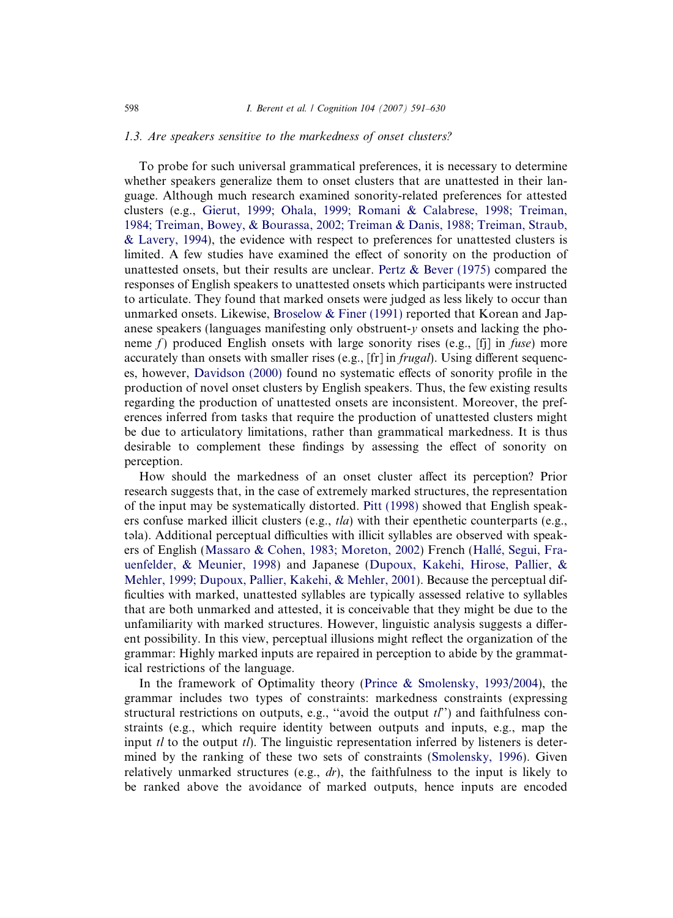#### 1.3. Are speakers sensitive to the markedness of onset clusters?

To probe for such universal grammatical preferences, it is necessary to determine whether speakers generalize them to onset clusters that are unattested in their language. Although much research examined sonority-related preferences for attested clusters (e.g., [Gierut, 1999; Ohala, 1999; Romani & Calabrese, 1998; Treiman,](#page-37-0) [1984; Treiman, Bowey, & Bourassa, 2002; Treiman & Danis, 1988; Treiman, Straub,](#page-37-0)  $&$  Lavery, 1994), the evidence with respect to preferences for unattested clusters is limited. A few studies have examined the effect of sonority on the production of unattested onsets, but their results are unclear. Pertz  $\&$  Bever (1975) compared the responses of English speakers to unattested onsets which participants were instructed to articulate. They found that marked onsets were judged as less likely to occur than unmarked onsets. Likewise, [Broselow & Finer \(1991\)](#page-37-0) reported that Korean and Japanese speakers (languages manifesting only obstruent-y onsets and lacking the phoneme f) produced English onsets with large sonority rises (e.g., [f] in fuse) more accurately than onsets with smaller rises (e.g.,  $[fr]$  in *frugal*). Using different sequences, however, [Davidson \(2000\)](#page-37-0) found no systematic effects of sonority profile in the production of novel onset clusters by English speakers. Thus, the few existing results regarding the production of unattested onsets are inconsistent. Moreover, the preferences inferred from tasks that require the production of unattested clusters might be due to articulatory limitations, rather than grammatical markedness. It is thus desirable to complement these findings by assessing the effect of sonority on perception.

How should the markedness of an onset cluster affect its perception? Prior research suggests that, in the case of extremely marked structures, the representation of the input may be systematically distorted. [Pitt \(1998\)](#page-38-0) showed that English speakers confuse marked illicit clusters (e.g., tha) with their epenthetic counterparts (e.g., tela). Additional perceptual difficulties with illicit syllables are observed with speak-ers of English ([Massaro & Cohen, 1983; Moreton, 2002\)](#page-38-0) French (Hallé, Segui, Fra[uenfelder, & Meunier, 1998\)](#page-37-0) and Japanese ([Dupoux, Kakehi, Hirose, Pallier, &](#page-37-0) [Mehler, 1999; Dupoux, Pallier, Kakehi, & Mehler, 2001\)](#page-37-0). Because the perceptual difficulties with marked, unattested syllables are typically assessed relative to syllables that are both unmarked and attested, it is conceivable that they might be due to the unfamiliarity with marked structures. However, linguistic analysis suggests a different possibility. In this view, perceptual illusions might reflect the organization of the grammar: Highly marked inputs are repaired in perception to abide by the grammatical restrictions of the language.

In the framework of Optimality theory ([Prince & Smolensky, 1993/2004](#page-38-0)), the grammar includes two types of constraints: markedness constraints (expressing structural restrictions on outputs, e.g., "avoid the output  $t^{\prime\prime}$ " and faithfulness constraints (e.g., which require identity between outputs and inputs, e.g., map the input  $tl$  to the output  $tl$ . The linguistic representation inferred by listeners is determined by the ranking of these two sets of constraints ([Smolensky, 1996\)](#page-38-0). Given relatively unmarked structures (e.g.,  $dr$ ), the faithfulness to the input is likely to be ranked above the avoidance of marked outputs, hence inputs are encoded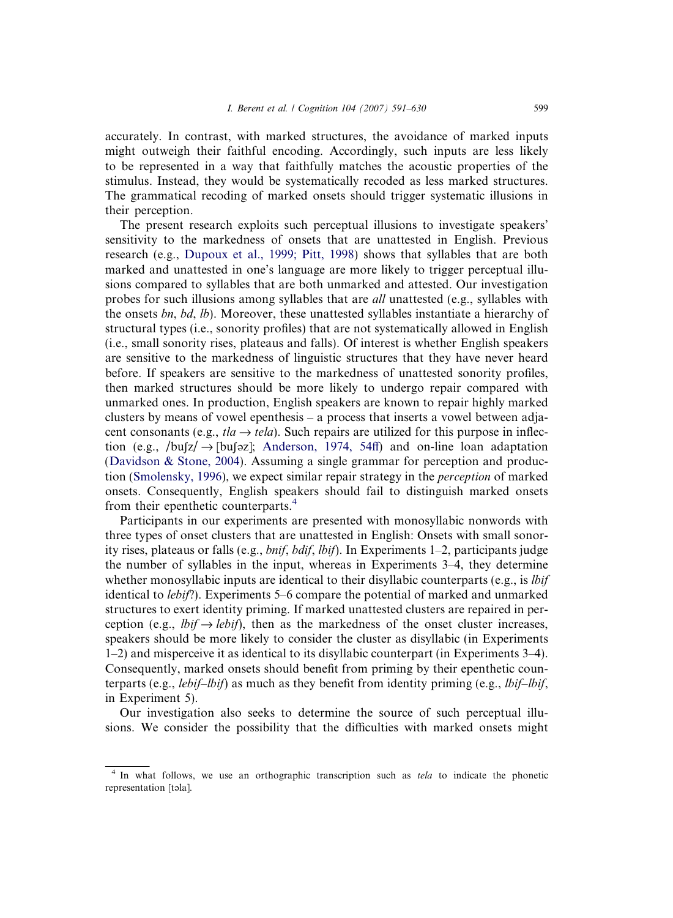accurately. In contrast, with marked structures, the avoidance of marked inputs might outweigh their faithful encoding. Accordingly, such inputs are less likely to be represented in a way that faithfully matches the acoustic properties of the stimulus. Instead, they would be systematically recoded as less marked structures. The grammatical recoding of marked onsets should trigger systematic illusions in their perception.

The present research exploits such perceptual illusions to investigate speakers' sensitivity to the markedness of onsets that are unattested in English. Previous research (e.g., [Dupoux et al., 1999; Pitt, 1998\)](#page-37-0) shows that syllables that are both marked and unattested in one's language are more likely to trigger perceptual illusions compared to syllables that are both unmarked and attested. Our investigation probes for such illusions among syllables that are all unattested (e.g., syllables with the onsets bn, bd, lb). Moreover, these unattested syllables instantiate a hierarchy of structural types (i.e., sonority profiles) that are not systematically allowed in English (i.e., small sonority rises, plateaus and falls). Of interest is whether English speakers are sensitive to the markedness of linguistic structures that they have never heard before. If speakers are sensitive to the markedness of unattested sonority profiles, then marked structures should be more likely to undergo repair compared with unmarked ones. In production, English speakers are known to repair highly marked clusters by means of vowel epenthesis – a process that inserts a vowel between adjacent consonants (e.g.,  $t/a \rightarrow tela$ ). Such repairs are utilized for this purpose in inflection (e.g.,  $/bu[z] \rightarrow [bu[oz]$ ; [Anderson, 1974, 54ff\)](#page-36-0) and on-line loan adaptation [\(Davidson & Stone, 2004\)](#page-37-0). Assuming a single grammar for perception and production [\(Smolensky, 1996](#page-38-0)), we expect similar repair strategy in the perception of marked onsets. Consequently, English speakers should fail to distinguish marked onsets from their epenthetic counterparts.<sup>4</sup>

Participants in our experiments are presented with monosyllabic nonwords with three types of onset clusters that are unattested in English: Onsets with small sonority rises, plateaus or falls (e.g., *bnif, bdif, lbif*). In Experiments  $1-2$ , participants judge the number of syllables in the input, whereas in Experiments 3–4, they determine whether monosyllabic inputs are identical to their disyllabic counterparts (e.g., is *lbif* identical to *lebif*?). Experiments 5–6 compare the potential of marked and unmarked structures to exert identity priming. If marked unattested clusters are repaired in perception (e.g., *lbif*  $\rightarrow$  *lebif*), then as the markedness of the onset cluster increases, speakers should be more likely to consider the cluster as disyllabic (in Experiments 1–2) and misperceive it as identical to its disyllabic counterpart (in Experiments 3–4). Consequently, marked onsets should benefit from priming by their epenthetic counterparts (e.g., *lebif–lbif*) as much as they benefit from identity priming (e.g., *lbif–lbif*, in Experiment 5).

Our investigation also seeks to determine the source of such perceptual illusions. We consider the possibility that the difficulties with marked onsets might

<sup>&</sup>lt;sup>4</sup> In what follows, we use an orthographic transcription such as tela to indicate the phonetic representation [tala].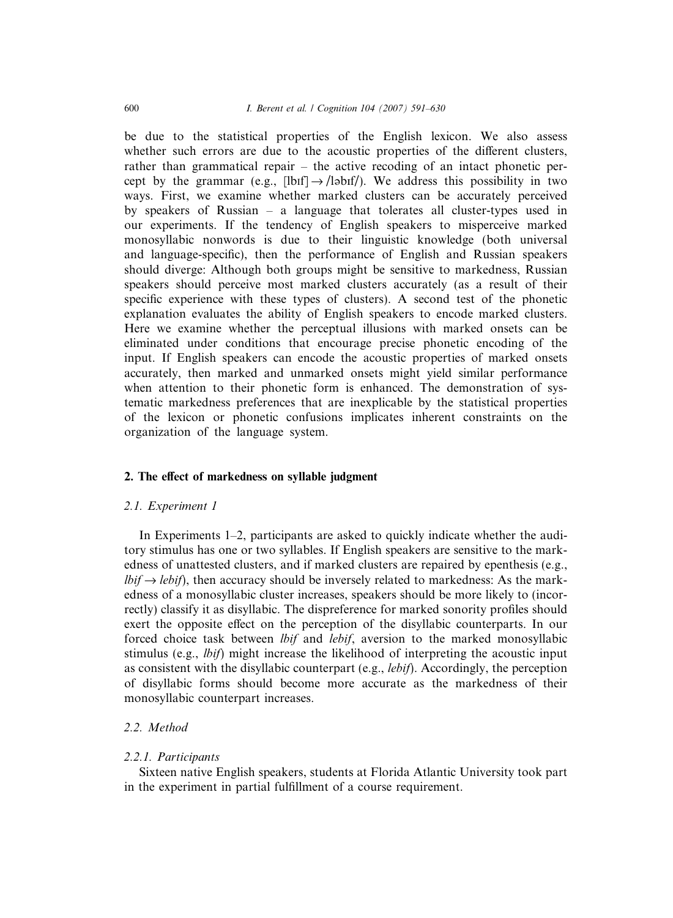be due to the statistical properties of the English lexicon. We also assess whether such errors are due to the acoustic properties of the different clusters, rather than grammatical repair – the active recoding of an intact phonetic percept by the grammar (e.g., [lbif]  $\rightarrow$  /labif/). We address this possibility in two ways. First, we examine whether marked clusters can be accurately perceived by speakers of Russian – a language that tolerates all cluster-types used in our experiments. If the tendency of English speakers to misperceive marked monosyllabic nonwords is due to their linguistic knowledge (both universal and language-specific), then the performance of English and Russian speakers should diverge: Although both groups might be sensitive to markedness, Russian speakers should perceive most marked clusters accurately (as a result of their specific experience with these types of clusters). A second test of the phonetic explanation evaluates the ability of English speakers to encode marked clusters. Here we examine whether the perceptual illusions with marked onsets can be eliminated under conditions that encourage precise phonetic encoding of the input. If English speakers can encode the acoustic properties of marked onsets accurately, then marked and unmarked onsets might yield similar performance when attention to their phonetic form is enhanced. The demonstration of systematic markedness preferences that are inexplicable by the statistical properties of the lexicon or phonetic confusions implicates inherent constraints on the organization of the language system.

## 2. The effect of markedness on syllable judgment

## 2.1. Experiment 1

In Experiments 1–2, participants are asked to quickly indicate whether the auditory stimulus has one or two syllables. If English speakers are sensitive to the markedness of unattested clusters, and if marked clusters are repaired by epenthesis (e.g., *lbif*  $\rightarrow$  *lebif*), then accuracy should be inversely related to markedness: As the markedness of a monosyllabic cluster increases, speakers should be more likely to (incorrectly) classify it as disyllabic. The dispreference for marked sonority profiles should exert the opposite effect on the perception of the disyllabic counterparts. In our forced choice task between lbif and lebif, aversion to the marked monosyllabic stimulus (e.g., *lbif*) might increase the likelihood of interpreting the acoustic input as consistent with the disyllabic counterpart (e.g., *lebif*). Accordingly, the perception of disyllabic forms should become more accurate as the markedness of their monosyllabic counterpart increases.

## 2.2. Method

## 2.2.1. Participants

Sixteen native English speakers, students at Florida Atlantic University took part in the experiment in partial fulfillment of a course requirement.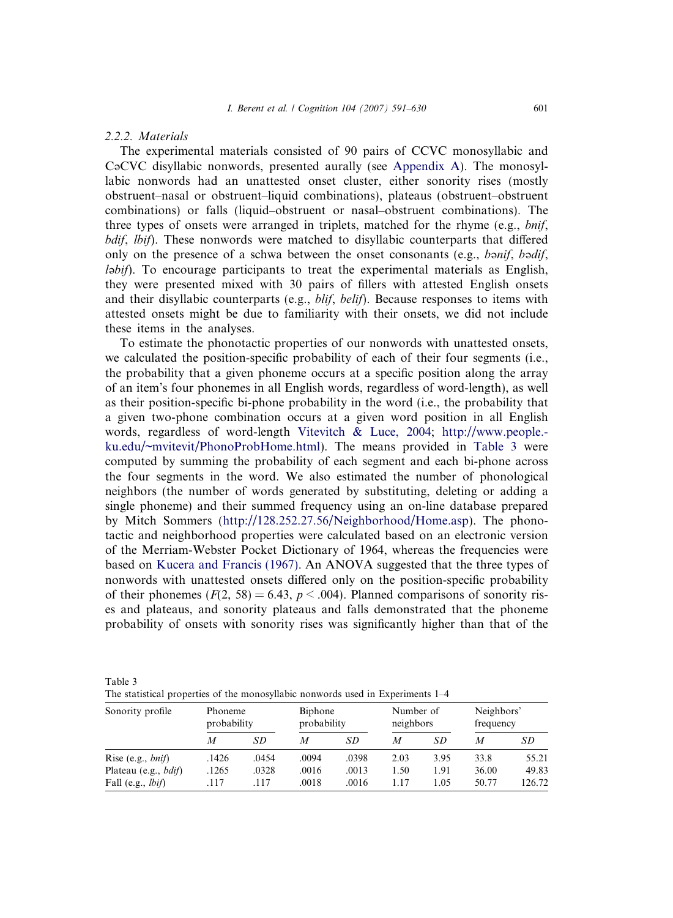## <span id="page-10-0"></span>2.2.2. Materials

The experimental materials consisted of 90 pairs of CCVC monosyllabic and CECVC disyllabic nonwords, presented aurally (see [Appendix A](#page-35-0)). The monosyllabic nonwords had an unattested onset cluster, either sonority rises (mostly obstruent–nasal or obstruent–liquid combinations), plateaus (obstruent–obstruent combinations) or falls (liquid–obstruent or nasal–obstruent combinations). The three types of onsets were arranged in triplets, matched for the rhyme (e.g., bnif, bdif, *lbif*). These nonwords were matched to disyllabic counterparts that differed only on the presence of a schwa between the onset consonants (e.g., benif, bedif,  $\ell$ bif). To encourage participants to treat the experimental materials as English, they were presented mixed with 30 pairs of fillers with attested English onsets and their disyllabic counterparts (e.g., *blif, belif)*. Because responses to items with attested onsets might be due to familiarity with their onsets, we did not include these items in the analyses.

To estimate the phonotactic properties of our nonwords with unattested onsets, we calculated the position-specific probability of each of their four segments (i.e., the probability that a given phoneme occurs at a specific position along the array of an item's four phonemes in all English words, regardless of word-length), as well as their position-specific bi-phone probability in the word (i.e., the probability that a given two-phone combination occurs at a given word position in all English words, regardless of word-length [Vitevitch & Luce, 2004](#page-39-0); [http://www.people.](http://www.people.ku.edu/~mvitevit/PhonoProbHome.html) [ku.edu/~mvitevit/PhonoProbHome.html](http://www.people.ku.edu/~mvitevit/PhonoProbHome.html)). The means provided in Table 3 were computed by summing the probability of each segment and each bi-phone across the four segments in the word. We also estimated the number of phonological neighbors (the number of words generated by substituting, deleting or adding a single phoneme) and their summed frequency using an on-line database prepared by Mitch Sommers [\(http://128.252.27.56/Neighborhood/Home.asp](http://128.252.27.56/Neighborhood/Home.asp)). The phonotactic and neighborhood properties were calculated based on an electronic version of the Merriam-Webster Pocket Dictionary of 1964, whereas the frequencies were based on [Kucera and Francis \(1967\)](#page-38-0). An ANOVA suggested that the three types of nonwords with unattested onsets differed only on the position-specific probability of their phonemes  $(F(2, 58) = 6.43, p < .004)$ . Planned comparisons of sonority rises and plateaus, and sonority plateaus and falls demonstrated that the phoneme probability of onsets with sonority rises was significantly higher than that of the

| Sonority profile             | Phoneme<br>probability |       |       | Biphone<br>probability |      | Number of<br>neighbors |       | Neighbors'<br>frequency |  |
|------------------------------|------------------------|-------|-------|------------------------|------|------------------------|-------|-------------------------|--|
|                              | M                      | SD    | M     | SD.                    | M    | SD.                    | M     | SD                      |  |
| Rise (e.g., $bnif$ )         | .1426                  | .0454 | .0094 | .0398                  | 2.03 | 3.95                   | 33.8  | 55.21                   |  |
| Plateau (e.g., <i>bdif</i> ) | .1265                  | .0328 | .0016 | .0013                  | 1.50 | 1.91                   | 36.00 | 49.83                   |  |
| Fall (e.g., $lbif$ )         | .117                   | .117  | .0018 | .0016                  | 1.17 | 1.05                   | 50.77 | 126.72                  |  |

Table 3 The statistical properties of the monosyllabic nonwords used in Experiments 1–4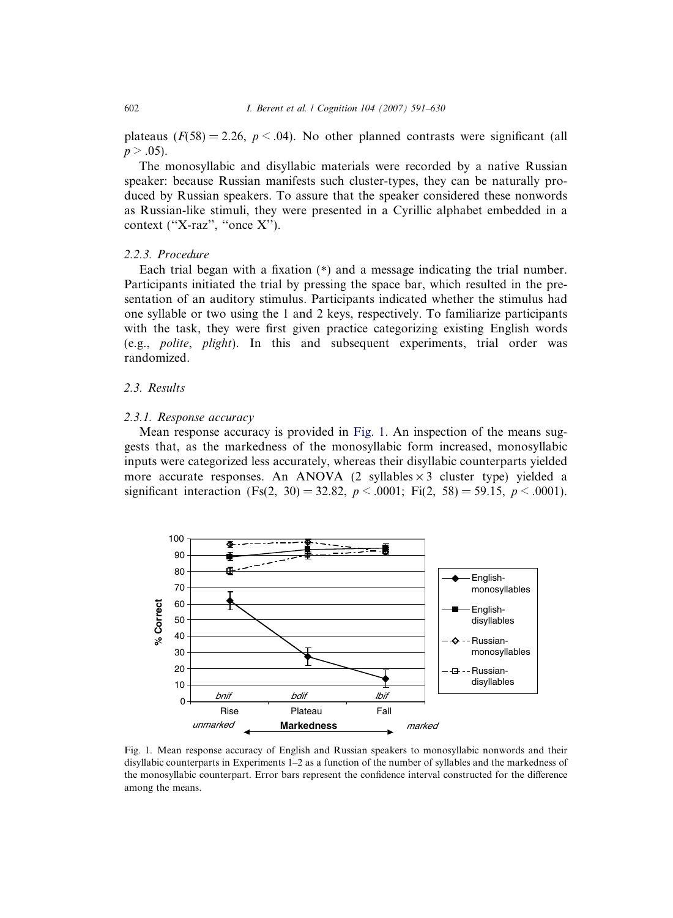<span id="page-11-0"></span>plateaus ( $F(58) = 2.26$ ,  $p < .04$ ). No other planned contrasts were significant (all  $p > .05$ ).

The monosyllabic and disyllabic materials were recorded by a native Russian speaker: because Russian manifests such cluster-types, they can be naturally produced by Russian speakers. To assure that the speaker considered these nonwords as Russian-like stimuli, they were presented in a Cyrillic alphabet embedded in a context (''X-raz'', ''once X'').

#### 2.2.3. Procedure

Each trial began with a fixation (\*) and a message indicating the trial number. Participants initiated the trial by pressing the space bar, which resulted in the presentation of an auditory stimulus. Participants indicated whether the stimulus had one syllable or two using the 1 and 2 keys, respectively. To familiarize participants with the task, they were first given practice categorizing existing English words (e.g., polite, plight). In this and subsequent experiments, trial order was randomized.

# 2.3. Results

## 2.3.1. Response accuracy

Mean response accuracy is provided in Fig. 1. An inspection of the means suggests that, as the markedness of the monosyllabic form increased, monosyllabic inputs were categorized less accurately, whereas their disyllabic counterparts yielded more accurate responses. An ANOVA (2 syllables  $\times$  3 cluster type) yielded a significant interaction (Fs(2, 30) = 32.82,  $p < .0001$ ; Fi(2, 58) = 59.15,  $p < .0001$ ).



Fig. 1. Mean response accuracy of English and Russian speakers to monosyllabic nonwords and their disyllabic counterparts in Experiments 1–2 as a function of the number of syllables and the markedness of the monosyllabic counterpart. Error bars represent the confidence interval constructed for the difference among the means.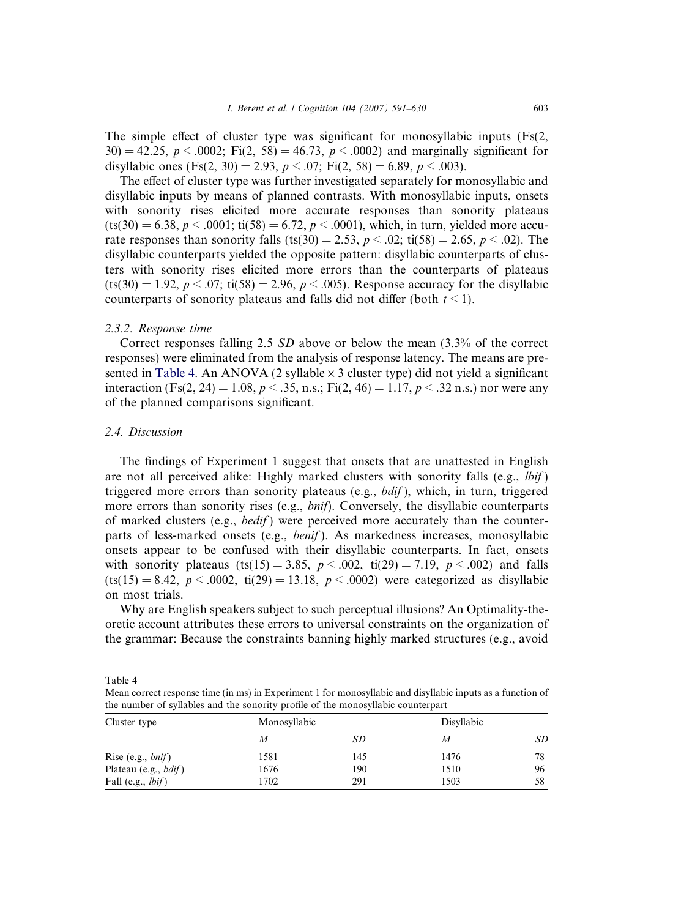The simple effect of cluster type was significant for monosyllabic inputs (Fs(2, 30) = 42.25,  $p < .0002$ ; Fi(2, 58) = 46.73,  $p < .0002$ ) and marginally significant for disyllabic ones (Fs(2, 30) = 2.93,  $p < .07$ ; Fi(2, 58) = 6.89,  $p < .003$ ).

The effect of cluster type was further investigated separately for monosyllabic and disyllabic inputs by means of planned contrasts. With monosyllabic inputs, onsets with sonority rises elicited more accurate responses than sonority plateaus  $(t\text{s}(30) = 6.38, p < .0001; \text{ ti}(58) = 6.72, p < .0001$ , which, in turn, yielded more accurate responses than sonority falls (ts(30) = 2.53,  $p < .02$ ; ti(58) = 2.65,  $p < .02$ ). The disyllabic counterparts yielded the opposite pattern: disyllabic counterparts of clusters with sonority rises elicited more errors than the counterparts of plateaus  $(t\sin(30) = 1.92, p < .07; \text{ ti}(58) = 2.96, p < .005)$ . Response accuracy for the disyllabic counterparts of sonority plateaus and falls did not differ (both  $t \le 1$ ).

#### 2.3.2. Response time

Correct responses falling 2.5 SD above or below the mean (3.3% of the correct responses) were eliminated from the analysis of response latency. The means are presented in Table 4. An ANOVA (2 syllable  $\times$  3 cluster type) did not yield a significant interaction (Fs(2, 24) = 1.08,  $p < .35$ , n.s.; Fi(2, 46) = 1.17,  $p < .32$  n.s.) nor were any of the planned comparisons significant.

## 2.4. Discussion

The findings of Experiment 1 suggest that onsets that are unattested in English are not all perceived alike: Highly marked clusters with sonority falls (e.g.,  $lbif$ ) triggered more errors than sonority plateaus (e.g.,  $bdif$ ), which, in turn, triggered more errors than sonority rises (e.g., *bnif*). Conversely, the disyllabic counterparts of marked clusters (e.g., *bedif*) were perceived more accurately than the counterparts of less-marked onsets (e.g., benif ). As markedness increases, monosyllabic onsets appear to be confused with their disyllabic counterparts. In fact, onsets with sonority plateaus (ts(15) = 3.85,  $p < .002$ , ti(29) = 7.19,  $p < .002$ ) and falls  $(t\text{s}(15) = 8.42, p < .0002, t\text{i}(29) = 13.18, p < .0002)$  were categorized as disyllabic on most trials.

Why are English speakers subject to such perceptual illusions? An Optimality-theoretic account attributes these errors to universal constraints on the organization of the grammar: Because the constraints banning highly marked structures (e.g., avoid

Table 4

Mean correct response time (in ms) in Experiment 1 for monosyllabic and disyllabic inputs as a function of the number of syllables and the sonority profile of the monosyllabic counterpart

| Cluster type            | Monosyllabic |     | Disyllabic |    |
|-------------------------|--------------|-----|------------|----|
|                         | M            | SD  | M          | SD |
| Rise (e.g., $bnif$ )    | 1581         | 145 | 1476       | 78 |
| Plateau (e.g., $bdif$ ) | 1676         | 190 | 1510       | 96 |
| Fall (e.g., $lbif$ )    | 1702         | 291 | 1503       | 58 |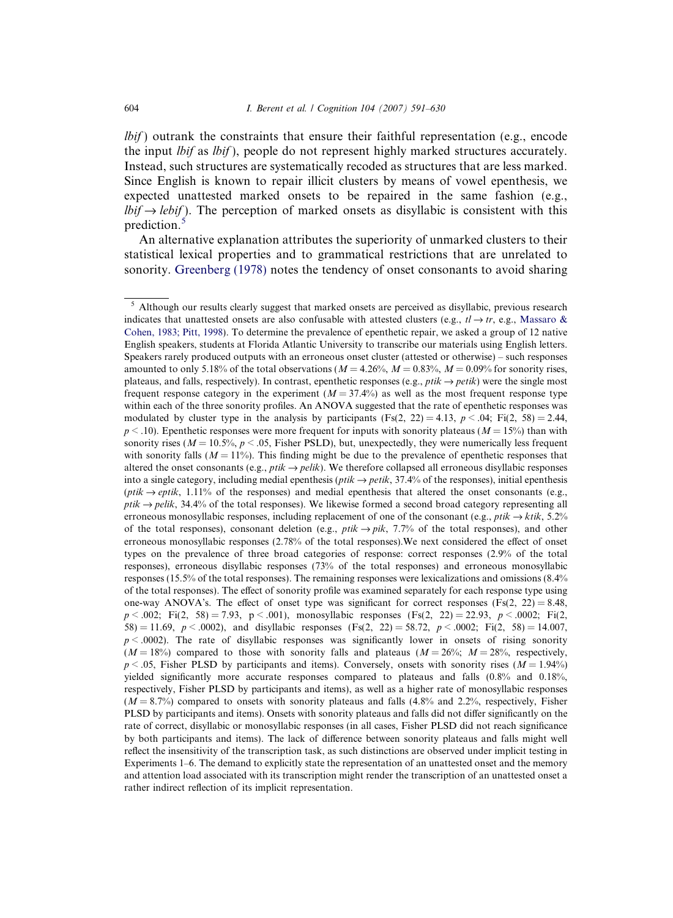lbif ) outrank the constraints that ensure their faithful representation (e.g., encode the input *lbif* as *lbif*), people do not represent highly marked structures accurately. Instead, such structures are systematically recoded as structures that are less marked. Since English is known to repair illicit clusters by means of vowel epenthesis, we expected unattested marked onsets to be repaired in the same fashion (e.g.,  $lbi f \rightarrow le bi f$ ). The perception of marked onsets as disyllabic is consistent with this prediction.5

An alternative explanation attributes the superiority of unmarked clusters to their statistical lexical properties and to grammatical restrictions that are unrelated to sonority. [Greenberg \(1978\)](#page-37-0) notes the tendency of onset consonants to avoid sharing

<sup>&</sup>lt;sup>5</sup> Although our results clearly suggest that marked onsets are perceived as disyllabic, previous research indicates that unattested onsets are also confusable with attested clusters (e.g.,  $t \rightarrow tr$ , e.g., [Massaro &](#page-38-0) [Cohen, 1983; Pitt, 1998](#page-38-0)). To determine the prevalence of epenthetic repair, we asked a group of 12 native English speakers, students at Florida Atlantic University to transcribe our materials using English letters. Speakers rarely produced outputs with an erroneous onset cluster (attested or otherwise) – such responses amounted to only 5.18% of the total observations ( $M = 4.26\%$ ,  $M = 0.83\%$ ,  $M = 0.09\%$  for sonority rises, plateaus, and falls, respectively). In contrast, epenthetic responses (e.g., *ptik*  $\rightarrow$  *petik*) were the single most frequent response category in the experiment  $(M = 37.4\%)$  as well as the most frequent response type within each of the three sonority profiles. An ANOVA suggested that the rate of epenthetic responses was modulated by cluster type in the analysis by participants  $(Fs(2, 22) = 4.13, p < .04; Fi(2, 58) = 2.44$ ,  $p < .10$ ). Epenthetic responses were more frequent for inputs with sonority plateaus ( $M = 15\%$ ) than with sonority rises ( $M = 10.5\%$ ,  $p < .05$ , Fisher PSLD), but, unexpectedly, they were numerically less frequent with sonority falls  $(M = 11\%)$ . This finding might be due to the prevalence of epenthetic responses that altered the onset consonants (e.g., *ptik*  $\rightarrow$  *pelik*). We therefore collapsed all erroneous disyllabic responses into a single category, including medial epenthesis (*ptik*  $\rightarrow$  *petik*, 37.4% of the responses), initial epenthesis  $(\text{ptik} \rightarrow \text{eptik}, 1.11\%$  of the responses) and medial epenthesis that altered the onset consonants (e.g.,  $ptik \rightarrow pelik$ , 34.4% of the total responses). We likewise formed a second broad category representing all erroneous monosyllabic responses, including replacement of one of the consonant (e.g., *ptik*  $\rightarrow$  ktik, 5.2% of the total responses), consonant deletion (e.g., *ptik*  $\rightarrow$  *pik*, 7.7% of the total responses), and other erroneous monosyllabic responses (2.78% of the total responses).We next considered the effect of onset types on the prevalence of three broad categories of response: correct responses (2.9% of the total responses), erroneous disyllabic responses (73% of the total responses) and erroneous monosyllabic responses (15.5% of the total responses). The remaining responses were lexicalizations and omissions (8.4% of the total responses). The effect of sonority profile was examined separately for each response type using one-way ANOVA's. The effect of onset type was significant for correct responses (Fs(2, 22) = 8.48,  $p < .002$ ; Fi(2, 58) = 7.93, p < .001), monosyllabic responses (Fs(2, 22) = 22.93, p < .0002; Fi(2, 58) = 11.69, p < .0002), and disyllabic responses (Fs(2, 22) = 58.72, p < .0002; Fi(2, 58) = 14.007,  $p < .0002$ ). The rate of disyllabic responses was significantly lower in onsets of rising sonority  $(M = 18\%)$  compared to those with sonority falls and plateaus  $(M = 26\%; M = 28\%$ , respectively,  $p < .05$ , Fisher PLSD by participants and items). Conversely, onsets with sonority rises ( $M = 1.94\%$ ) yielded significantly more accurate responses compared to plateaus and falls (0.8% and 0.18%, respectively, Fisher PLSD by participants and items), as well as a higher rate of monosyllabic responses  $(M = 8.7%)$  compared to onsets with sonority plateaus and falls  $(4.8%$  and 2.2%, respectively, Fisher PLSD by participants and items). Onsets with sonority plateaus and falls did not differ significantly on the rate of correct, disyllabic or monosyllabic responses (in all cases, Fisher PLSD did not reach significance by both participants and items). The lack of difference between sonority plateaus and falls might well reflect the insensitivity of the transcription task, as such distinctions are observed under implicit testing in Experiments 1–6. The demand to explicitly state the representation of an unattested onset and the memory and attention load associated with its transcription might render the transcription of an unattested onset a rather indirect reflection of its implicit representation.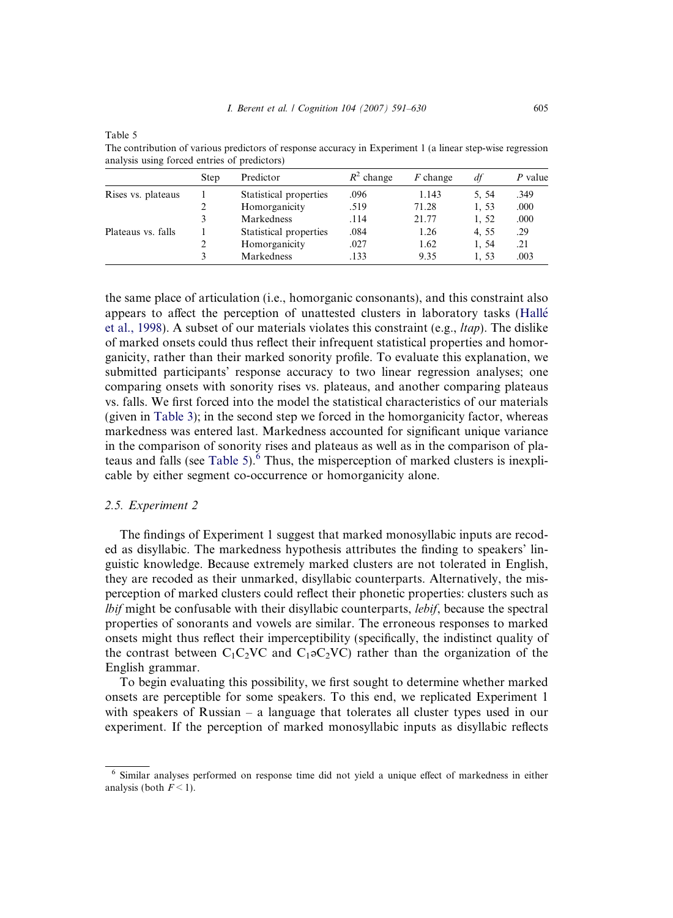| analysis asing forced entries of predictors, | Step | Predictor              | $R^2$ change | $F$ change | df    | P value |
|----------------------------------------------|------|------------------------|--------------|------------|-------|---------|
| Rises vs. plateaus                           |      | Statistical properties | .096         | 1.143      | 5, 54 | .349    |
|                                              | າ    | Homorganicity          | .519         | 71.28      | 1, 53 | .000    |
|                                              | 3    | Markedness             | .114         | 21.77      | 1, 52 | .000    |
| Plateaus vs. falls                           |      | Statistical properties | .084         | 1.26       | 4, 55 | .29     |
|                                              |      | Homorganicity          | .027         | 1.62       | 1.54  | .21     |
|                                              | 3    | Markedness             | .133         | 9.35       | 1, 53 | .003    |

The contribution of various predictors of response accuracy in Experiment 1 (a linear step-wise regression analysis using forced entries of predictors)

the same place of articulation (i.e., homorganic consonants), and this constraint also appears to affect the perception of unattested clusters in laboratory tasks ([Halle´](#page-37-0) [et al., 1998](#page-37-0)). A subset of our materials violates this constraint (e.g.,  $ltap$ ). The dislike of marked onsets could thus reflect their infrequent statistical properties and homorganicity, rather than their marked sonority profile. To evaluate this explanation, we submitted participants' response accuracy to two linear regression analyses; one comparing onsets with sonority rises vs. plateaus, and another comparing plateaus vs. falls. We first forced into the model the statistical characteristics of our materials (given in [Table 3](#page-10-0)); in the second step we forced in the homorganicity factor, whereas markedness was entered last. Markedness accounted for significant unique variance in the comparison of sonority rises and plateaus as well as in the comparison of plateaus and falls (see Table 5).<sup>6</sup> Thus, the misperception of marked clusters is inexplicable by either segment co-occurrence or homorganicity alone.

#### 2.5. Experiment 2

Table 5

The findings of Experiment 1 suggest that marked monosyllabic inputs are recoded as disyllabic. The markedness hypothesis attributes the finding to speakers' linguistic knowledge. Because extremely marked clusters are not tolerated in English, they are recoded as their unmarked, disyllabic counterparts. Alternatively, the misperception of marked clusters could reflect their phonetic properties: clusters such as lbif might be confusable with their disyllabic counterparts, lebif, because the spectral properties of sonorants and vowels are similar. The erroneous responses to marked onsets might thus reflect their imperceptibility (specifically, the indistinct quality of the contrast between  $C_1C_2VC$  and  $C_1\supseteq C_2VC$  rather than the organization of the English grammar.

To begin evaluating this possibility, we first sought to determine whether marked onsets are perceptible for some speakers. To this end, we replicated Experiment 1 with speakers of Russian – a language that tolerates all cluster types used in our experiment. If the perception of marked monosyllabic inputs as disyllabic reflects

<sup>6</sup> Similar analyses performed on response time did not yield a unique effect of markedness in either analysis (both  $F < 1$ ).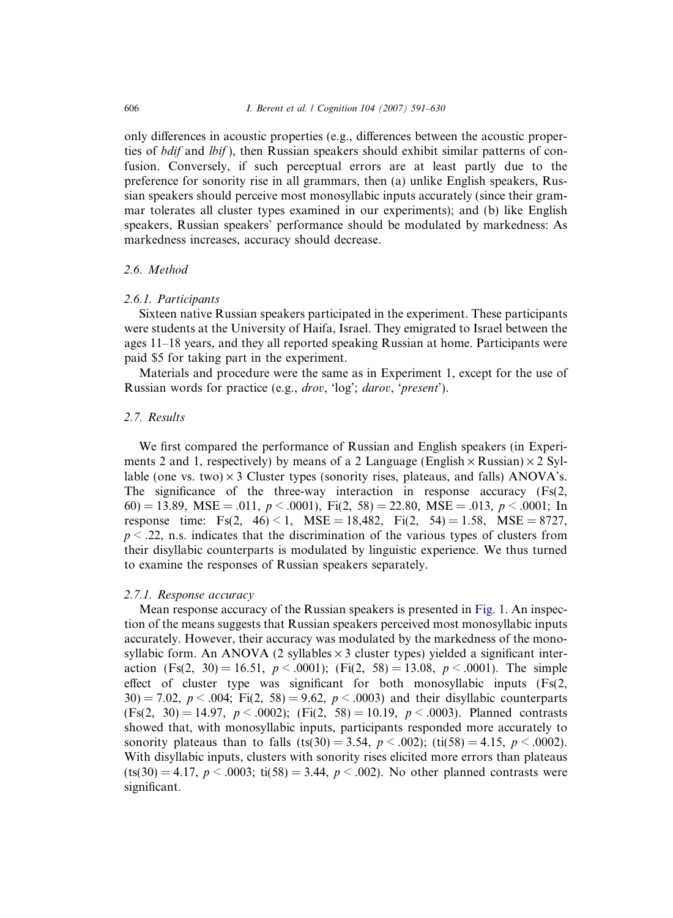only differences in acoustic properties (e.g., differences between the acoustic properties of *bdif* and *lbif*), then Russian speakers should exhibit similar patterns of confusion. Conversely, if such perceptual errors are at least partly due to the preference for sonority rise in all grammars, then (a) unlike English speakers, Russian speakers should perceive most monosyllabic inputs accurately (since their grammar tolerates all cluster types examined in our experiments); and (b) like English speakers, Russian speakers' performance should be modulated by markedness: As markedness increases, accuracy should decrease.

## 2.6. Method

#### 2.6.1. Participants

Sixteen native Russian speakers participated in the experiment. These participants were students at the University of Haifa, Israel. They emigrated to Israel between the ages 11–18 years, and they all reported speaking Russian at home. Participants were paid \$5 for taking part in the experiment.

Materials and procedure were the same as in Experiment 1, except for the use of Russian words for practice (e.g., *drov*, 'log'; *darov*, '*present*').

## 2.7. Results

We first compared the performance of Russian and English speakers (in Experiments 2 and 1, respectively) by means of a 2 Language (English  $\times$  Russian)  $\times$  2 Syllable (one vs. two)  $\times$  3 Cluster types (sonority rises, plateaus, and falls) ANOVA's. The significance of the three-way interaction in response accuracy  $(Fs(2,$ 60) = 13.89, MSE = .011,  $p < .0001$ , Fi(2, 58) = 22.80, MSE = .013,  $p < .0001$ ; In response time: Fs(2, 46) < 1, MSE = 18,482, Fi(2, 54) = 1.58, MSE = 8727,  $p < 0.22$ , n.s. indicates that the discrimination of the various types of clusters from their disyllabic counterparts is modulated by linguistic experience. We thus turned to examine the responses of Russian speakers separately.

## 2.7.1. Response accuracy

Mean response accuracy of the Russian speakers is presented in [Fig. 1.](#page-11-0) An inspection of the means suggests that Russian speakers perceived most monosyllabic inputs accurately. However, their accuracy was modulated by the markedness of the monosyllabic form. An ANOVA (2 syllables  $\times$  3 cluster types) yielded a significant interaction (Fs(2, 30) = 16.51,  $p < .0001$ ); (Fi(2, 58) = 13.08,  $p < .0001$ ). The simple effect of cluster type was significant for both monosyllabic inputs (Fs(2,  $30 = 7.02$ ,  $p < .004$ ; Fi(2, 58) = 9.62,  $p < .0003$ ) and their disyllabic counterparts (Fs(2, 30) = 14.97,  $p < .0002$ ); (Fi(2, 58) = 10.19,  $p < .0003$ ). Planned contrasts showed that, with monosyllabic inputs, participants responded more accurately to sonority plateaus than to falls  $(ts(30) = 3.54, p < .002)$ ;  $(ti(58) = 4.15, p < .0002)$ . With disyllabic inputs, clusters with sonority rises elicited more errors than plateaus  $(t\text{s}(30) = 4.17, p < .0003; t\text{i}(58) = 3.44, p < .002)$ . No other planned contrasts were significant.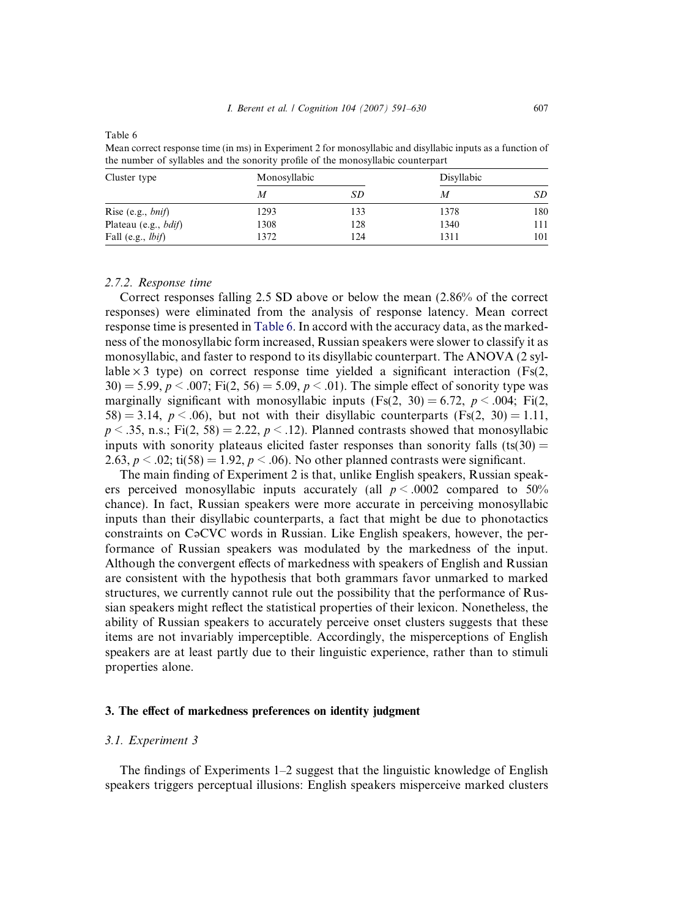| mean correct response third (in ms) in Experiment 2 for monos (maste and us) maste inputs as a ranchon or<br>the number of syllables and the sonority profile of the monosyllabic counterpart |              |     |            |     |  |  |  |
|-----------------------------------------------------------------------------------------------------------------------------------------------------------------------------------------------|--------------|-----|------------|-----|--|--|--|
| Cluster type                                                                                                                                                                                  | Monosyllabic |     | Disyllabic |     |  |  |  |
|                                                                                                                                                                                               | M            | SD  |            | SD. |  |  |  |
| Rise (e.g., $bnif$ )                                                                                                                                                                          | 1293         | 133 | 1378       | 180 |  |  |  |
| Plateau (e.g., $bdif$ )                                                                                                                                                                       | 1308         | 128 | 1340       | 111 |  |  |  |
| Fall (e.g., $lbif$ )                                                                                                                                                                          | 1372         | 124 | 1311       | 101 |  |  |  |

Table 6

Mean correct response time (in ms) in Experiment 2 for monosyllabic and disyllabic inputs as a function of

#### 2.7.2. Response time

Correct responses falling 2.5 SD above or below the mean (2.86% of the correct responses) were eliminated from the analysis of response latency. Mean correct response time is presented in Table 6. In accord with the accuracy data, as the markedness of the monosyllabic form increased, Russian speakers were slower to classify it as monosyllabic, and faster to respond to its disyllabic counterpart. The ANOVA (2 syllable  $\times$  3 type) on correct response time yielded a significant interaction (Fs(2,  $30) = 5.99, p \le 0.007$ ; Fi(2, 56) = 5.09,  $p \le 0.01$ ). The simple effect of sonority type was marginally significant with monosyllabic inputs  $(Fs(2, 30) = 6.72, p < .004; Fi(2,$  $58$ ) = 3.14,  $p < .06$ ), but not with their disyllabic counterparts (Fs(2, 30) = 1.11,  $p \le 0.35$ , n.s.; Fi(2, 58) = 2.22,  $p \le 0.12$ ). Planned contrasts showed that monosyllabic inputs with sonority plateaus elicited faster responses than sonority falls  $(ts(30) =$ 2.63,  $p < .02$ ; ti(58) = 1.92,  $p < .06$ ). No other planned contrasts were significant.

The main finding of Experiment 2 is that, unlike English speakers, Russian speakers perceived monosyllabic inputs accurately (all  $p < .0002$  compared to 50% chance). In fact, Russian speakers were more accurate in perceiving monosyllabic inputs than their disyllabic counterparts, a fact that might be due to phonotactics constraints on CaCVC words in Russian. Like English speakers, however, the performance of Russian speakers was modulated by the markedness of the input. Although the convergent effects of markedness with speakers of English and Russian are consistent with the hypothesis that both grammars favor unmarked to marked structures, we currently cannot rule out the possibility that the performance of Russian speakers might reflect the statistical properties of their lexicon. Nonetheless, the ability of Russian speakers to accurately perceive onset clusters suggests that these items are not invariably imperceptible. Accordingly, the misperceptions of English speakers are at least partly due to their linguistic experience, rather than to stimuli properties alone.

#### 3. The effect of markedness preferences on identity judgment

## 3.1. Experiment 3

The findings of Experiments  $1-2$  suggest that the linguistic knowledge of English speakers triggers perceptual illusions: English speakers misperceive marked clusters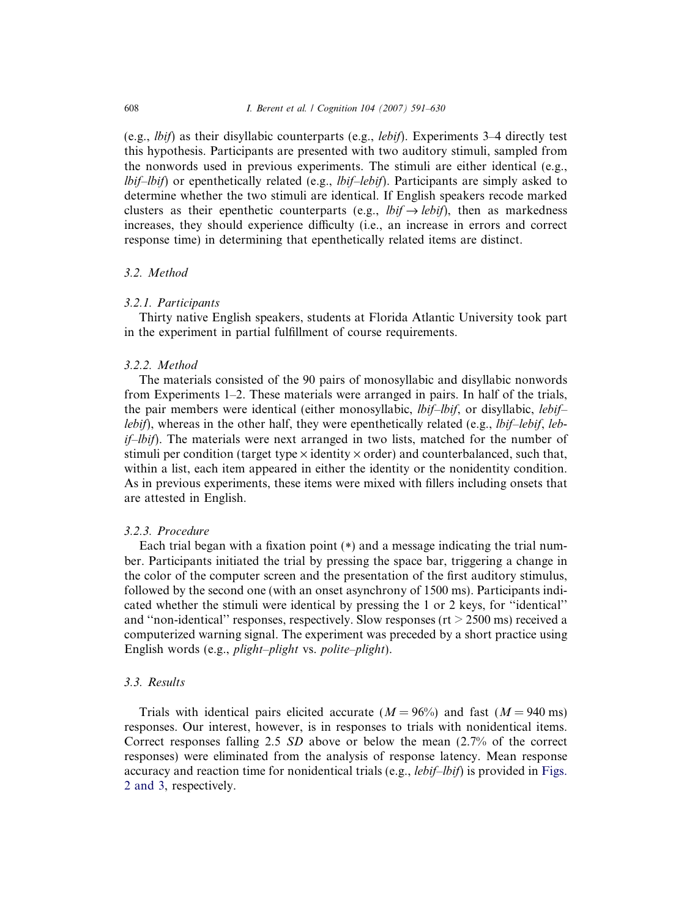(e.g., *lbif*) as their disyllabic counterparts (e.g., *lebif*). Experiments  $3-4$  directly test this hypothesis. Participants are presented with two auditory stimuli, sampled from the nonwords used in previous experiments. The stimuli are either identical (e.g., lbif–lbif) or epenthetically related (e.g., lbif–lebif). Participants are simply asked to determine whether the two stimuli are identical. If English speakers recode marked clusters as their epenthetic counterparts (e.g.,  $lbif \rightarrow lebih$ ), then as markedness increases, they should experience difficulty (i.e., an increase in errors and correct response time) in determining that epenthetically related items are distinct.

#### 3.2. Method

#### 3.2.1. Participants

Thirty native English speakers, students at Florida Atlantic University took part in the experiment in partial fulfillment of course requirements.

# 3.2.2. Method

The materials consisted of the 90 pairs of monosyllabic and disyllabic nonwords from Experiments 1–2. These materials were arranged in pairs. In half of the trials, the pair members were identical (either monosyllabic, lbif–lbif, or disyllabic, lebif– *lebif*), whereas in the other half, they were epenthetically related (e.g., *lbif–lebif*, *leb* $if-lbit$ ). The materials were next arranged in two lists, matched for the number of stimuli per condition (target type  $\times$  identity  $\times$  order) and counterbalanced, such that, within a list, each item appeared in either the identity or the nonidentity condition. As in previous experiments, these items were mixed with fillers including onsets that are attested in English.

#### 3.2.3. Procedure

Each trial began with a fixation point (\*) and a message indicating the trial number. Participants initiated the trial by pressing the space bar, triggering a change in the color of the computer screen and the presentation of the first auditory stimulus, followed by the second one (with an onset asynchrony of 1500 ms). Participants indicated whether the stimuli were identical by pressing the 1 or 2 keys, for ''identical'' and "non-identical" responses, respectively. Slow responses ( $rt > 2500$  ms) received a computerized warning signal. The experiment was preceded by a short practice using English words (e.g., plight–plight vs. polite–plight).

#### 3.3. Results

Trials with identical pairs elicited accurate ( $M = 96\%$ ) and fast ( $M = 940$  ms) responses. Our interest, however, is in responses to trials with nonidentical items. Correct responses falling 2.5 SD above or below the mean (2.7% of the correct responses) were eliminated from the analysis of response latency. Mean response accuracy and reaction time for nonidentical trials (e.g., lebif–lbif) is provided in [Figs.](#page-18-0) [2 and 3](#page-18-0), respectively.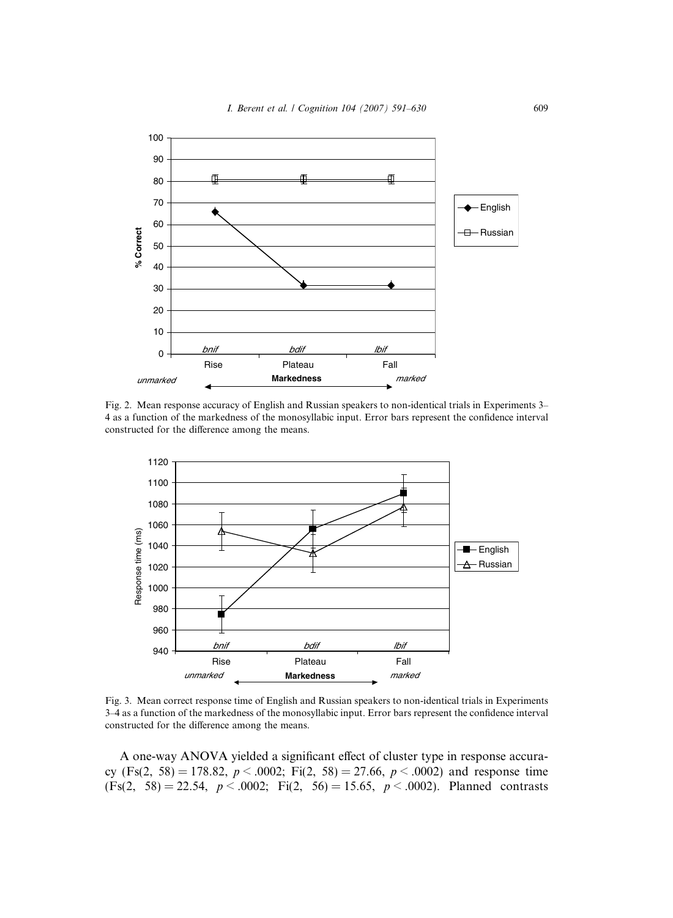<span id="page-18-0"></span>

Fig. 2. Mean response accuracy of English and Russian speakers to non-identical trials in Experiments 3– 4 as a function of the markedness of the monosyllabic input. Error bars represent the confidence interval constructed for the difference among the means.



Fig. 3. Mean correct response time of English and Russian speakers to non-identical trials in Experiments 3–4 as a function of the markedness of the monosyllabic input. Error bars represent the confidence interval constructed for the difference among the means.

A one-way ANOVA yielded a significant effect of cluster type in response accuracy  $(Fs(2, 58) = 178.82, p < .0002$ ;  $Fi(2, 58) = 27.66, p < .0002$  and response time  $(Fs(2, 58) = 22.54, p < .0002; Fi(2, 56) = 15.65, p < .0002$ . Planned contrasts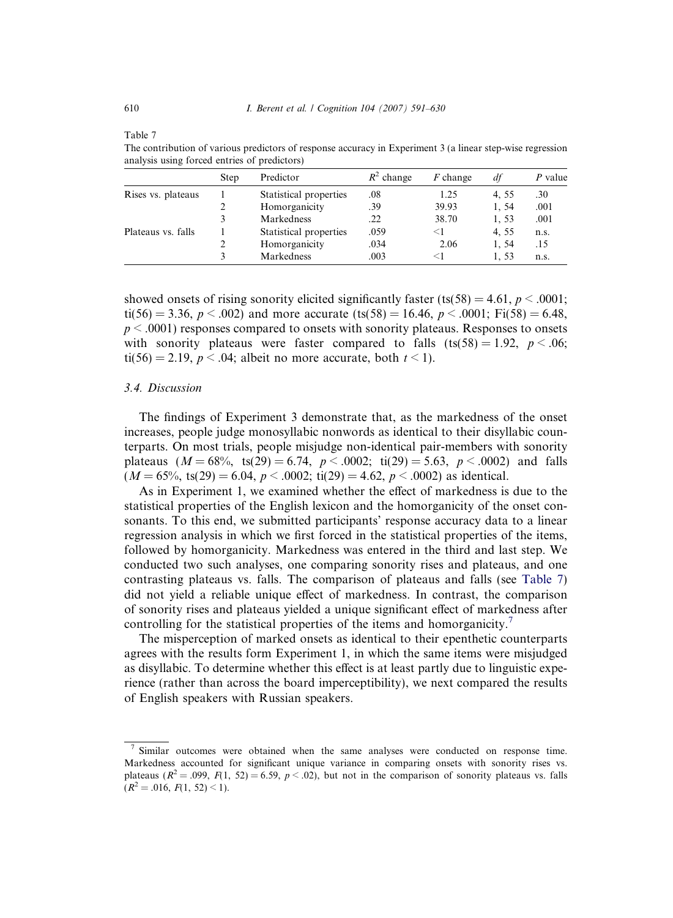| I able |  |
|--------|--|
|--------|--|

The contribution of various predictors of response accuracy in Experiment 3 (a linear step-wise regression analysis using forced entries of predictors)

|                    | Step | Predictor              | $R^2$ change | $F$ change |       | P value |
|--------------------|------|------------------------|--------------|------------|-------|---------|
| Rises vs. plateaus |      | Statistical properties | .08          | 1.25       | 4.55  | .30     |
|                    |      | Homorganicity          | .39          | 39.93      | 1.54  | .001    |
|                    | 3    | Markedness             | .22          | 38.70      | 1, 53 | .001    |
| Plateaus vs. falls |      | Statistical properties | .059         | $<$ 1      | 4.55  | n.s.    |
|                    |      | Homorganicity          | .034         | 2.06       | 1, 54 | .15     |
|                    | 3    | Markedness             | .003         | ≤1         | 1.53  | n.s.    |

showed onsets of rising sonority elicited significantly faster (ts(58) = 4.61,  $p < .0001$ ;  $\text{ti}(56) = 3.36, p \le 0.002$  and more accurate (ts(58) = 16.46, p  $\le 0.001$ ; Fi(58) = 6.48,  $p \leq 0.0001$  responses compared to onsets with sonority plateaus. Responses to onsets with sonority plateaus were faster compared to falls  $(ts(58) = 1.92, p < .06;$  $ti(56) = 2.19$ ,  $p < .04$ ; albeit no more accurate, both  $t < 1$ ).

#### 3.4. Discussion

The findings of Experiment 3 demonstrate that, as the markedness of the onset increases, people judge monosyllabic nonwords as identical to their disyllabic counterparts. On most trials, people misjudge non-identical pair-members with sonority plateaus  $(M = 68\%, \text{ts}(29) = 6.74, p < .0002; \text{ti}(29) = 5.63, p < .0002$  and falls  $(M = 65\%, \text{ts}(29) = 6.04, p < .0002; \text{ti}(29) = 4.62, p < .0002$  as identical.

As in Experiment 1, we examined whether the effect of markedness is due to the statistical properties of the English lexicon and the homorganicity of the onset consonants. To this end, we submitted participants' response accuracy data to a linear regression analysis in which we first forced in the statistical properties of the items, followed by homorganicity. Markedness was entered in the third and last step. We conducted two such analyses, one comparing sonority rises and plateaus, and one contrasting plateaus vs. falls. The comparison of plateaus and falls (see Table 7) did not yield a reliable unique effect of markedness. In contrast, the comparison of sonority rises and plateaus yielded a unique significant effect of markedness after controlling for the statistical properties of the items and homorganicity.<sup>7</sup>

The misperception of marked onsets as identical to their epenthetic counterparts agrees with the results form Experiment 1, in which the same items were misjudged as disyllabic. To determine whether this effect is at least partly due to linguistic experience (rather than across the board imperceptibility), we next compared the results of English speakers with Russian speakers.

<sup>7</sup> Similar outcomes were obtained when the same analyses were conducted on response time. Markedness accounted for significant unique variance in comparing onsets with sonority rises vs. plateaus ( $R^2 = .099$ ,  $F(1, 52) = 6.59$ ,  $p < .02$ ), but not in the comparison of sonority plateaus vs. falls  $(R<sup>2</sup> = .016, F(1, 52) < 1).$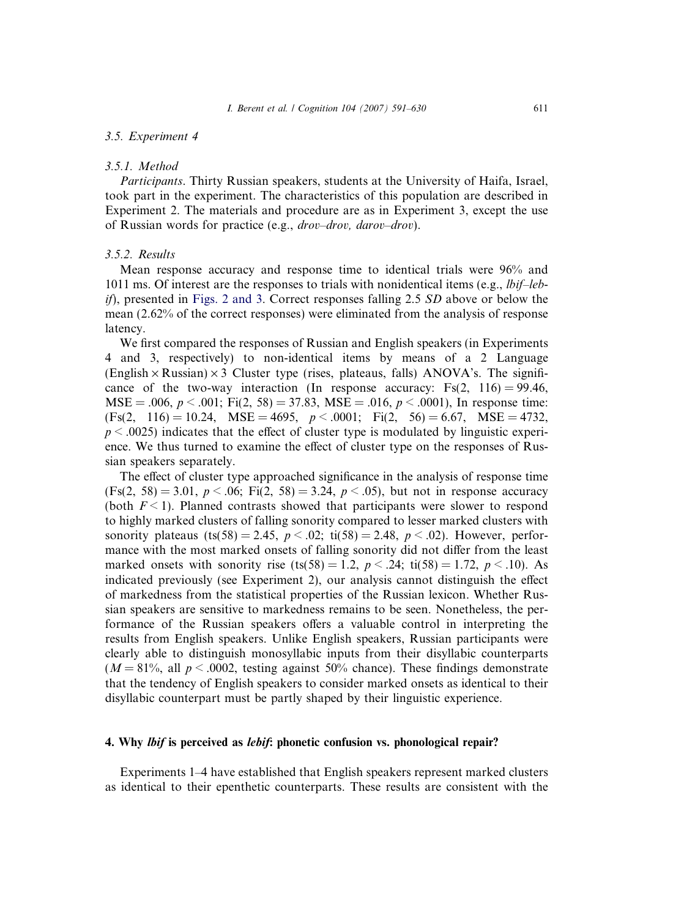## 3.5. Experiment 4

## 3.5.1. Method

Participants. Thirty Russian speakers, students at the University of Haifa, Israel, took part in the experiment. The characteristics of this population are described in Experiment 2. The materials and procedure are as in Experiment 3, except the use of Russian words for practice (e.g., drov–drov, darov–drov).

## 3.5.2. Results

Mean response accuracy and response time to identical trials were 96% and 1011 ms. Of interest are the responses to trials with nonidentical items (e.g.,  $lbi\bar{l}-leb-$ if), presented in [Figs. 2 and 3](#page-18-0). Correct responses falling 2.5  $SD$  above or below the mean (2.62% of the correct responses) were eliminated from the analysis of response latency.

We first compared the responses of Russian and English speakers (in Experiments 4 and 3, respectively) to non-identical items by means of a 2 Language  $(English \times Russian) \times 3$  Cluster type (rises, plateaus, falls) ANOVA's. The significance of the two-way interaction (In response accuracy:  $Fs(2, 116) = 99.46$ ,  $MSE = .006, p < .001$ ; Fi(2, 58) = 37.83, MSE = .016,  $p < .0001$ ), In response time:  $(Fs(2, 116) = 10.24, MSE = 4695, p < .0001; Fi(2, 56) = 6.67, MSE = 4732,$  $p < .0025$ ) indicates that the effect of cluster type is modulated by linguistic experience. We thus turned to examine the effect of cluster type on the responses of Russian speakers separately.

The effect of cluster type approached significance in the analysis of response time  $(Fs(2, 58) = 3.01, p < .06; Fi(2, 58) = 3.24, p < .05)$ , but not in response accuracy (both  $F < 1$ ). Planned contrasts showed that participants were slower to respond to highly marked clusters of falling sonority compared to lesser marked clusters with sonority plateaus (ts(58) = 2.45,  $p < .02$ ; ti(58) = 2.48,  $p < .02$ ). However, performance with the most marked onsets of falling sonority did not differ from the least marked onsets with sonority rise (ts(58) = 1.2,  $p < .24$ ; ti(58) = 1.72,  $p < .10$ ). As indicated previously (see Experiment 2), our analysis cannot distinguish the effect of markedness from the statistical properties of the Russian lexicon. Whether Russian speakers are sensitive to markedness remains to be seen. Nonetheless, the performance of the Russian speakers offers a valuable control in interpreting the results from English speakers. Unlike English speakers, Russian participants were clearly able to distinguish monosyllabic inputs from their disyllabic counterparts  $(M = 81\%$ , all  $p < .0002$ , testing against 50% chance). These findings demonstrate that the tendency of English speakers to consider marked onsets as identical to their disyllabic counterpart must be partly shaped by their linguistic experience.

## 4. Why *lbif* is perceived as *lebif*: phonetic confusion vs. phonological repair?

Experiments 1–4 have established that English speakers represent marked clusters as identical to their epenthetic counterparts. These results are consistent with the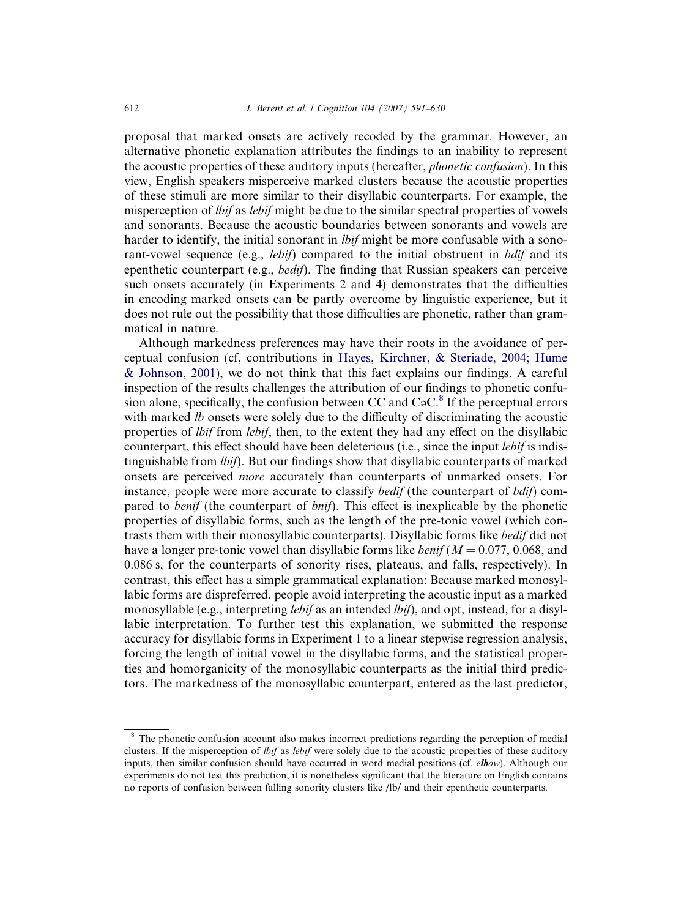proposal that marked onsets are actively recoded by the grammar. However, an alternative phonetic explanation attributes the findings to an inability to represent the acoustic properties of these auditory inputs (hereafter, phonetic confusion). In this view, English speakers misperceive marked clusters because the acoustic properties of these stimuli are more similar to their disyllabic counterparts. For example, the misperception of *lbif* as *lebif* might be due to the similar spectral properties of vowels and sonorants. Because the acoustic boundaries between sonorants and vowels are harder to identify, the initial sonorant in *lbif* might be more confusable with a sonorant-vowel sequence (e.g., *lebif*) compared to the initial obstruent in *bdif* and its epenthetic counterpart (e.g., bedif). The finding that Russian speakers can perceive such onsets accurately (in Experiments 2 and 4) demonstrates that the difficulties in encoding marked onsets can be partly overcome by linguistic experience, but it does not rule out the possibility that those difficulties are phonetic, rather than grammatical in nature.

Although markedness preferences may have their roots in the avoidance of perceptual confusion (cf, contributions in [Hayes, Kirchner, & Steriade, 2004; Hume](#page-37-0) [& Johnson, 2001\)](#page-37-0), we do not think that this fact explains our findings. A careful inspection of the results challenges the attribution of our findings to phonetic confusion alone, specifically, the confusion between  $CC$  and  $C_2C<sup>8</sup>$  If the perceptual errors with marked  $lb$  onsets were solely due to the difficulty of discriminating the acoustic properties of lbif from lebif, then, to the extent they had any effect on the disyllabic counterpart, this effect should have been deleterious (i.e., since the input *lebif* is indistinguishable from lbif). But our findings show that disyllabic counterparts of marked onsets are perceived more accurately than counterparts of unmarked onsets. For instance, people were more accurate to classify *bedif* (the counterpart of *bdif*) compared to *benif* (the counterpart of *bnif*). This effect is inexplicable by the phonetic properties of disyllabic forms, such as the length of the pre-tonic vowel (which contrasts them with their monosyllabic counterparts). Disyllabic forms like bedif did not have a longer pre-tonic vowel than disyllabic forms like *benif* ( $M = 0.077, 0.068$ , and 0.086 s, for the counterparts of sonority rises, plateaus, and falls, respectively). In contrast, this effect has a simple grammatical explanation: Because marked monosyllabic forms are dispreferred, people avoid interpreting the acoustic input as a marked monosyllable (e.g., interpreting *lebif* as an intended *lbif*), and opt, instead, for a disyllabic interpretation. To further test this explanation, we submitted the response accuracy for disyllabic forms in Experiment 1 to a linear stepwise regression analysis, forcing the length of initial vowel in the disyllabic forms, and the statistical properties and homorganicity of the monosyllabic counterparts as the initial third predictors. The markedness of the monosyllabic counterpart, entered as the last predictor,

<sup>&</sup>lt;sup>8</sup> The phonetic confusion account also makes incorrect predictions regarding the perception of medial clusters. If the misperception of *lbif* as *lebif* were solely due to the acoustic properties of these auditory inputs, then similar confusion should have occurred in word medial positions (cf. elbow). Although our experiments do not test this prediction, it is nonetheless significant that the literature on English contains no reports of confusion between falling sonority clusters like /lb/ and their epenthetic counterparts.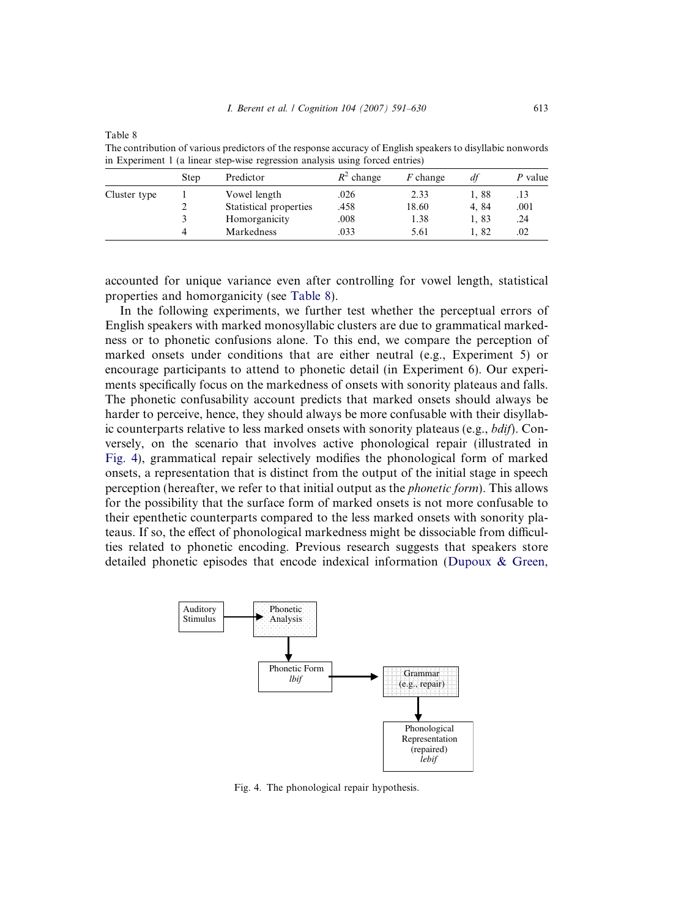<span id="page-22-0"></span>Table 8

|              |      | The contribution of various predictors of the response accuracy of English speakers to disyllabic nonwords<br>in Experiment 1 (a linear step-wise regression analysis using forced entries) |              |            |      |           |
|--------------|------|---------------------------------------------------------------------------------------------------------------------------------------------------------------------------------------------|--------------|------------|------|-----------|
|              | Step | Predictor                                                                                                                                                                                   | $R^2$ change | $F$ change | df   | $P$ value |
| Cluster type |      | Vowel length                                                                                                                                                                                | .026         | 2.33       | 1.88 | .13       |

| Cluster type | Vowel length           | .026 | 2.33  | 1.88 |      |
|--------------|------------------------|------|-------|------|------|
|              | Statistical properties | .458 | 18.60 | 4.84 | .001 |
|              | Homorganicity          | .008 | 1.38  | 1.83 |      |
|              | Markedness             | .033 | 5.61  | 1.82 |      |

accounted for unique variance even after controlling for vowel length, statistical properties and homorganicity (see Table 8).

In the following experiments, we further test whether the perceptual errors of English speakers with marked monosyllabic clusters are due to grammatical markedness or to phonetic confusions alone. To this end, we compare the perception of marked onsets under conditions that are either neutral (e.g., Experiment 5) or encourage participants to attend to phonetic detail (in Experiment 6). Our experiments specifically focus on the markedness of onsets with sonority plateaus and falls. The phonetic confusability account predicts that marked onsets should always be harder to perceive, hence, they should always be more confusable with their disyllabic counterparts relative to less marked onsets with sonority plateaus (e.g., *bdif*). Conversely, on the scenario that involves active phonological repair (illustrated in Fig. 4), grammatical repair selectively modifies the phonological form of marked onsets, a representation that is distinct from the output of the initial stage in speech perception (hereafter, we refer to that initial output as the *phonetic form*). This allows for the possibility that the surface form of marked onsets is not more confusable to their epenthetic counterparts compared to the less marked onsets with sonority plateaus. If so, the effect of phonological markedness might be dissociable from difficulties related to phonetic encoding. Previous research suggests that speakers store detailed phonetic episodes that encode indexical information (Dupoux  $\&$  Green,



Fig. 4. The phonological repair hypothesis.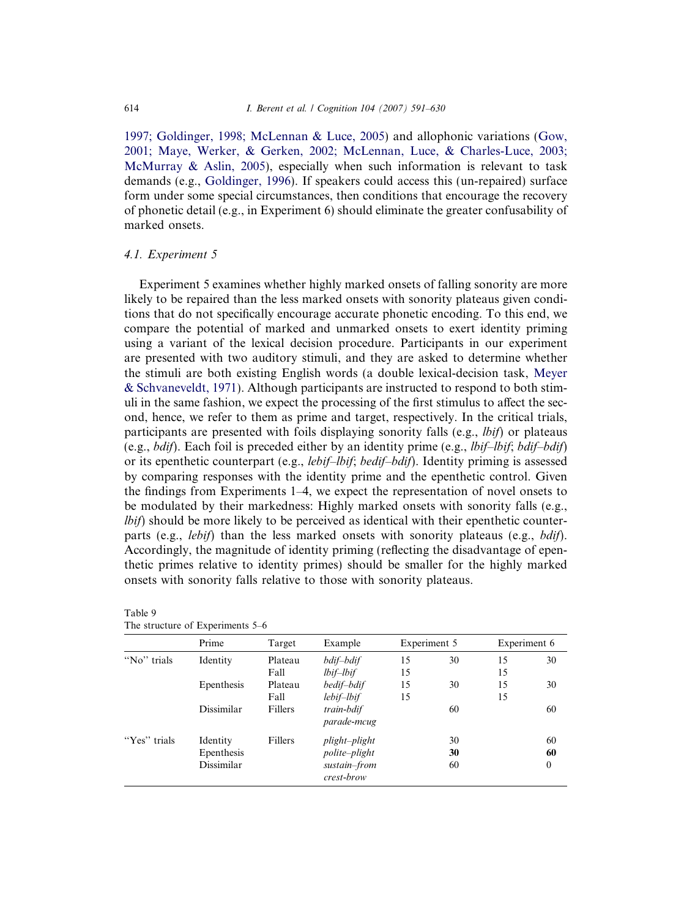<span id="page-23-0"></span>[1997; Goldinger, 1998; McLennan & Luce, 2005](#page-37-0)) and allophonic variations ([Gow,](#page-37-0) [2001; Maye, Werker, & Gerken, 2002; McLennan, Luce, & Charles-Luce, 2003;](#page-37-0) McMurray  $\&$  Aslin, 2005), especially when such information is relevant to task demands (e.g., [Goldinger, 1996](#page-37-0)). If speakers could access this (un-repaired) surface form under some special circumstances, then conditions that encourage the recovery of phonetic detail (e.g., in Experiment 6) should eliminate the greater confusability of marked onsets.

## 4.1. Experiment 5

Experiment 5 examines whether highly marked onsets of falling sonority are more likely to be repaired than the less marked onsets with sonority plateaus given conditions that do not specifically encourage accurate phonetic encoding. To this end, we compare the potential of marked and unmarked onsets to exert identity priming using a variant of the lexical decision procedure. Participants in our experiment are presented with two auditory stimuli, and they are asked to determine whether the stimuli are both existing English words (a double lexical-decision task, [Meyer](#page-38-0) [& Schvaneveldt, 1971\)](#page-38-0). Although participants are instructed to respond to both stimuli in the same fashion, we expect the processing of the first stimulus to affect the second, hence, we refer to them as prime and target, respectively. In the critical trials, participants are presented with foils displaying sonority falls (e.g., *lbif*) or plateaus (e.g., *bdif*). Each foil is preceded either by an identity prime (e.g., *lbif–lbif*; *bdif–bdif*) or its epenthetic counterpart (e.g., *lebif–lbif*; *bedif–bdif*). Identity priming is assessed by comparing responses with the identity prime and the epenthetic control. Given the findings from Experiments 1–4, we expect the representation of novel onsets to be modulated by their markedness: Highly marked onsets with sonority falls (e.g., lbif) should be more likely to be perceived as identical with their epenthetic counterparts (e.g., *lebif*) than the less marked onsets with sonority plateaus (e.g., *bdif*). Accordingly, the magnitude of identity priming (reflecting the disadvantage of epenthetic primes relative to identity primes) should be smaller for the highly marked onsets with sonority falls relative to those with sonority plateaus.

|              | Prime      | Target  | Example                    |    | Experiment 5 |    | Experiment 6 |
|--------------|------------|---------|----------------------------|----|--------------|----|--------------|
| "No" trials  | Identity   | Plateau | bdif-bdif                  | 15 | 30           | 15 | 30           |
|              |            | Fall    | $lbif$ - $lbif$            | 15 |              | 15 |              |
|              | Epenthesis | Plateau | bedif-bdif                 | 15 | 30           | 15 | 30           |
|              |            | Fall    | lebif-lbif                 | 15 |              | 15 |              |
|              | Dissimilar | Fillers | train-bdif<br>parade-mcug  |    | 60           |    | 60           |
| "Yes" trials | Identity   | Fillers | plight-plight              |    | 30           |    | 60           |
|              | Epenthesis |         | polite-plight              |    | 30           |    | 60           |
|              | Dissimilar |         | sustain-from<br>crest-brow |    | 60           |    | $\theta$     |

Table 9 The structure of Experiments 5–6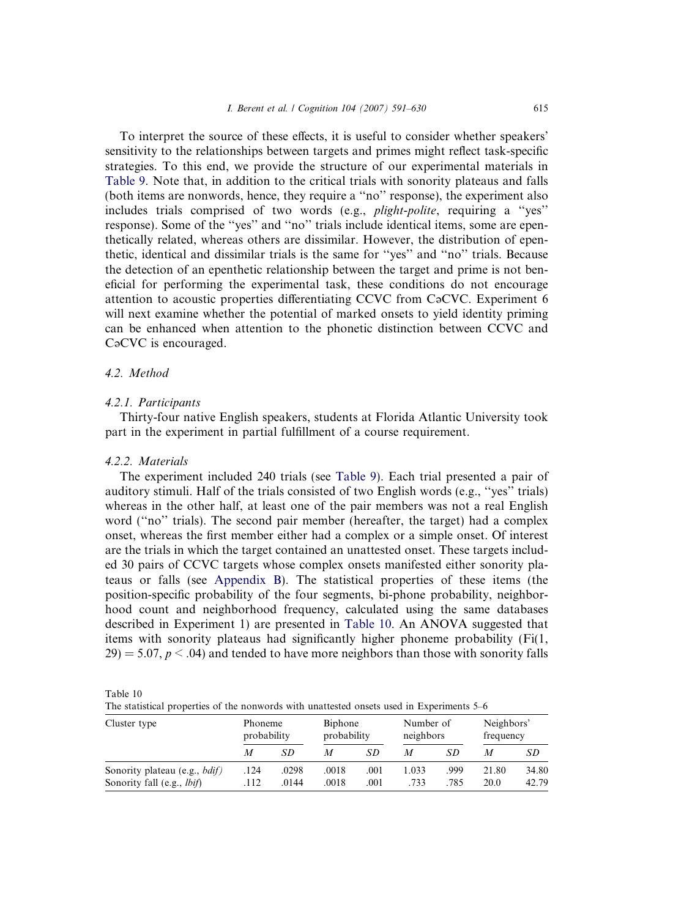To interpret the source of these effects, it is useful to consider whether speakers' sensitivity to the relationships between targets and primes might reflect task-specific strategies. To this end, we provide the structure of our experimental materials in [Table 9.](#page-23-0) Note that, in addition to the critical trials with sonority plateaus and falls (both items are nonwords, hence, they require a ''no'' response), the experiment also includes trials comprised of two words (e.g., plight-polite, requiring a ''yes'' response). Some of the ''yes'' and ''no'' trials include identical items, some are epenthetically related, whereas others are dissimilar. However, the distribution of epenthetic, identical and dissimilar trials is the same for ''yes'' and ''no'' trials. Because the detection of an epenthetic relationship between the target and prime is not beneficial for performing the experimental task, these conditions do not encourage attention to acoustic properties differentiating CCVC from C $\phi$ CVC. Experiment 6 will next examine whether the potential of marked onsets to yield identity priming can be enhanced when attention to the phonetic distinction between CCVC and C<sub>2</sub>CVC is encouraged.

#### 4.2. Method

#### 4.2.1. Participants

Thirty-four native English speakers, students at Florida Atlantic University took part in the experiment in partial fulfillment of a course requirement.

## 4.2.2. Materials

The experiment included 240 trials (see [Table 9\)](#page-23-0). Each trial presented a pair of auditory stimuli. Half of the trials consisted of two English words (e.g., ''yes'' trials) whereas in the other half, at least one of the pair members was not a real English word (''no'' trials). The second pair member (hereafter, the target) had a complex onset, whereas the first member either had a complex or a simple onset. Of interest are the trials in which the target contained an unattested onset. These targets included 30 pairs of CCVC targets whose complex onsets manifested either sonority plateaus or falls (see [Appendix B\)](#page-36-0). The statistical properties of these items (the position-specific probability of the four segments, bi-phone probability, neighborhood count and neighborhood frequency, calculated using the same databases described in Experiment 1) are presented in Table 10. An ANOVA suggested that items with sonority plateaus had significantly higher phoneme probability (Fi(1,  $29$ ) = 5.07, p < .04) and tended to have more neighbors than those with sonority falls

Table 10 The statistical properties of the nonwords with unattested onsets used in Experiments 5–6

| Cluster type                         | Phoneme     |       | Biphone     |      | Number of |      | Neighbors' |       |
|--------------------------------------|-------------|-------|-------------|------|-----------|------|------------|-------|
|                                      | probability |       | probability |      | neighbors |      | frequency  |       |
|                                      | M           | SD    | M           | SD   | M         | SD   | M          | SD.   |
| Sonority plateau (e.g., <i>bdif)</i> | .124        | .0298 | .0018       | .001 | 1.033     | .999 | 21.80      | 34.80 |
| Sonority fall (e.g., <i>lbif</i> )   | 112         | .0144 | .0018       | .001 | .733      | .785 | 20.0       | 42.79 |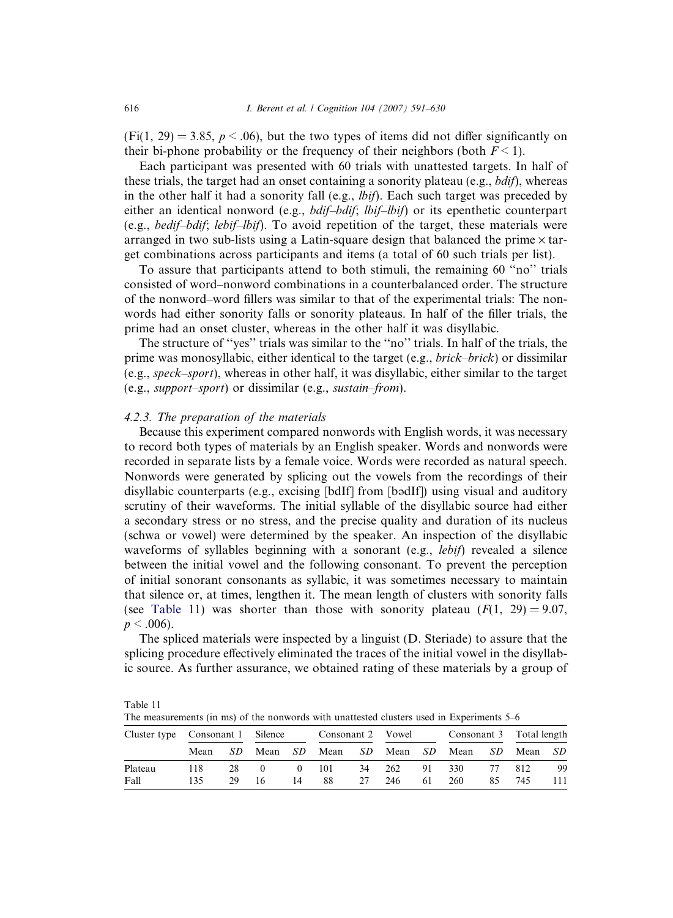$(Fi(1, 29) = 3.85, p < .06)$ , but the two types of items did not differ significantly on their bi-phone probability or the frequency of their neighbors (both  $F < 1$ ).

Each participant was presented with 60 trials with unattested targets. In half of these trials, the target had an onset containing a sonority plateau (e.g.,  $bdi$ ), whereas in the other half it had a sonority fall (e.g.,  $lbif$ ). Each such target was preceded by either an identical nonword (e.g., *bdif–bdif*; *lbif–lbif*) or its epenthetic counterpart (e.g., bedif–bdif; lebif–lbif). To avoid repetition of the target, these materials were arranged in two sub-lists using a Latin-square design that balanced the prime  $\times$  target combinations across participants and items (a total of 60 such trials per list).

To assure that participants attend to both stimuli, the remaining 60 ''no'' trials consisted of word–nonword combinations in a counterbalanced order. The structure of the nonword–word fillers was similar to that of the experimental trials: The nonwords had either sonority falls or sonority plateaus. In half of the filler trials, the prime had an onset cluster, whereas in the other half it was disyllabic.

The structure of ''yes'' trials was similar to the ''no'' trials. In half of the trials, the prime was monosyllabic, either identical to the target (e.g.,  $brick–brick$ ) or dissimilar (e.g., speck–sport), whereas in other half, it was disyllabic, either similar to the target (e.g., support–sport) or dissimilar (e.g., sustain–from).

## 4.2.3. The preparation of the materials

Because this experiment compared nonwords with English words, it was necessary to record both types of materials by an English speaker. Words and nonwords were recorded in separate lists by a female voice. Words were recorded as natural speech. Nonwords were generated by splicing out the vowels from the recordings of their disyllabic counterparts (e.g., excising  $[bdIf]$  from  $[b\text{-}dIf]$ ) using visual and auditory scrutiny of their waveforms. The initial syllable of the disyllabic source had either a secondary stress or no stress, and the precise quality and duration of its nucleus (schwa or vowel) were determined by the speaker. An inspection of the disyllabic waveforms of syllables beginning with a sonorant  $(e.g., lebit)$  revealed a silence between the initial vowel and the following consonant. To prevent the perception of initial sonorant consonants as syllabic, it was sometimes necessary to maintain that silence or, at times, lengthen it. The mean length of clusters with sonority falls (see Table 11) was shorter than those with sonority plateau  $(F(1, 29) = 9.07$ ,  $p \leq .006$ ).

The spliced materials were inspected by a linguist (D. Steriade) to assure that the splicing procedure effectively eliminated the traces of the initial vowel in the disyllabic source. As further assurance, we obtained rating of these materials by a group of

|  | The measurements (in ms) of the nonwords with unattested clusters used in Experiments 5–6                              |  |  |
|--|------------------------------------------------------------------------------------------------------------------------|--|--|
|  | $\alpha$ , $\alpha$ , $\alpha$ , $\alpha$ , $\alpha$ , $\alpha$ , $\alpha$ , $\alpha$ , $\alpha$ , $\alpha$ , $\alpha$ |  |  |

|         | Cluster type Consonant 1 Silence |      |          |    | Consonant 2 Vowel |    |        |     | Consonant 3 Total length |    |     |     |
|---------|----------------------------------|------|----------|----|-------------------|----|--------|-----|--------------------------|----|-----|-----|
|         | Mean                             | -SD. | Mean SD  |    | Mean SD Mean SD   |    |        |     | Mean SD Mean SD          |    |     |     |
| Plateau | 118                              | 28   | $\Omega$ |    | $0 \t 101$        |    | 34 262 | 91. | 330                      | 77 | 812 | -99 |
| Fall    | 135                              | 29   | 16       | 14 | 88                | 27 | 246    | 61. | 260                      | 85 | 745 | 111 |

Table 11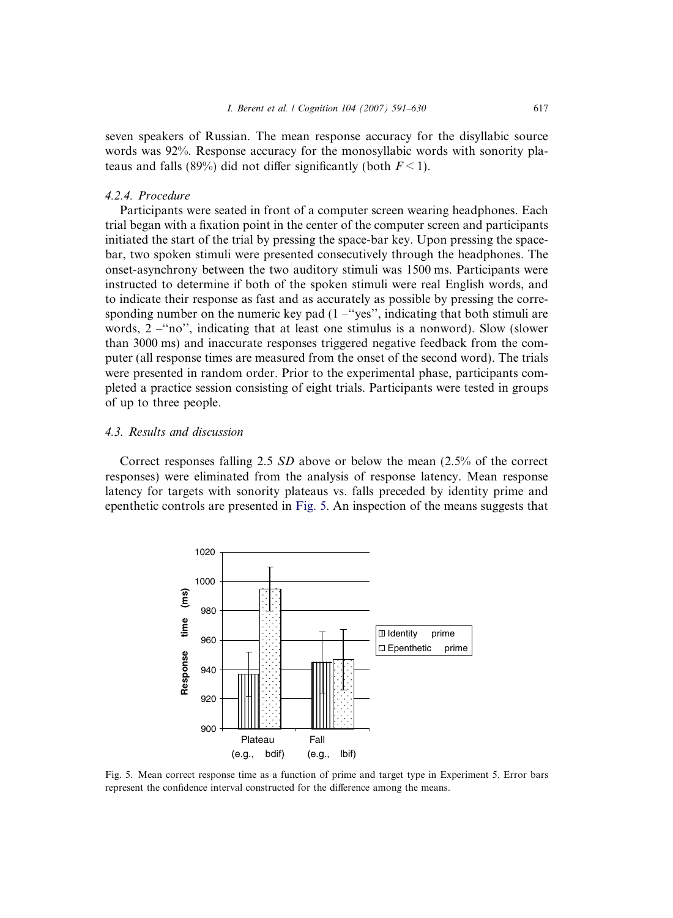seven speakers of Russian. The mean response accuracy for the disyllabic source words was 92%. Response accuracy for the monosyllabic words with sonority plateaus and falls (89%) did not differ significantly (both  $F < 1$ ).

#### 4.2.4. Procedure

Participants were seated in front of a computer screen wearing headphones. Each trial began with a fixation point in the center of the computer screen and participants initiated the start of the trial by pressing the space-bar key. Upon pressing the spacebar, two spoken stimuli were presented consecutively through the headphones. The onset-asynchrony between the two auditory stimuli was 1500 ms. Participants were instructed to determine if both of the spoken stimuli were real English words, and to indicate their response as fast and as accurately as possible by pressing the corresponding number on the numeric key pad  $(1 - \text{``yes''},$  indicating that both stimuli are words, 2 –''no'', indicating that at least one stimulus is a nonword). Slow (slower than 3000 ms) and inaccurate responses triggered negative feedback from the computer (all response times are measured from the onset of the second word). The trials were presented in random order. Prior to the experimental phase, participants completed a practice session consisting of eight trials. Participants were tested in groups of up to three people.

# 4.3. Results and discussion

Correct responses falling 2.5 SD above or below the mean (2.5% of the correct responses) were eliminated from the analysis of response latency. Mean response latency for targets with sonority plateaus vs. falls preceded by identity prime and epenthetic controls are presented in Fig. 5. An inspection of the means suggests that



Fig. 5. Mean correct response time as a function of prime and target type in Experiment 5. Error bars represent the confidence interval constructed for the difference among the means.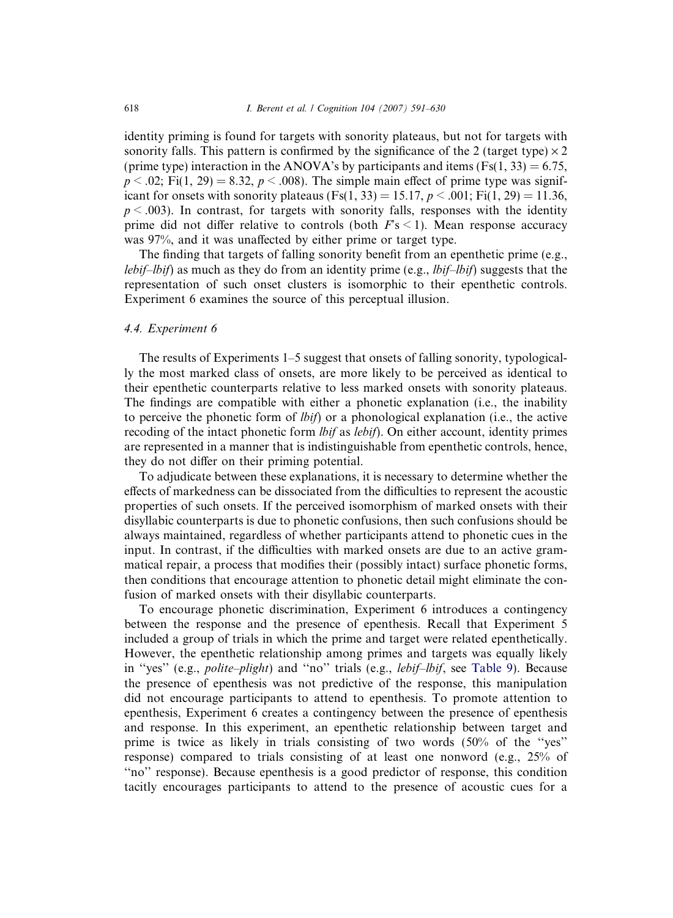identity priming is found for targets with sonority plateaus, but not for targets with sonority falls. This pattern is confirmed by the significance of the 2 (target type)  $\times$  2 (prime type) interaction in the ANOVA's by participants and items (Fs(1, 33) = 6.75,  $p < .02$ ; Fi(1, 29) = 8.32,  $p < .008$ ). The simple main effect of prime type was significant for onsets with sonority plateaus (Fs(1, 33) = 15.17,  $p < .001$ ; Fi(1, 29) = 11.36,  $p \leq 0.003$ ). In contrast, for targets with sonority falls, responses with the identity prime did not differ relative to controls (both  $F_s < 1$ ). Mean response accuracy was 97%, and it was unaffected by either prime or target type.

The finding that targets of falling sonority benefit from an epenthetic prime (e.g., *lebif–lbif*) as much as they do from an identity prime (e.g., *lbif–lbif*) suggests that the representation of such onset clusters is isomorphic to their epenthetic controls. Experiment 6 examines the source of this perceptual illusion.

# 4.4. Experiment 6

The results of Experiments 1–5 suggest that onsets of falling sonority, typologically the most marked class of onsets, are more likely to be perceived as identical to their epenthetic counterparts relative to less marked onsets with sonority plateaus. The findings are compatible with either a phonetic explanation (i.e., the inability to perceive the phonetic form of  $lbif$ ) or a phonological explanation (i.e., the active recoding of the intact phonetic form lbif as lebif). On either account, identity primes are represented in a manner that is indistinguishable from epenthetic controls, hence, they do not differ on their priming potential.

To adjudicate between these explanations, it is necessary to determine whether the effects of markedness can be dissociated from the difficulties to represent the acoustic properties of such onsets. If the perceived isomorphism of marked onsets with their disyllabic counterparts is due to phonetic confusions, then such confusions should be always maintained, regardless of whether participants attend to phonetic cues in the input. In contrast, if the difficulties with marked onsets are due to an active grammatical repair, a process that modifies their (possibly intact) surface phonetic forms, then conditions that encourage attention to phonetic detail might eliminate the confusion of marked onsets with their disyllabic counterparts.

To encourage phonetic discrimination, Experiment 6 introduces a contingency between the response and the presence of epenthesis. Recall that Experiment 5 included a group of trials in which the prime and target were related epenthetically. However, the epenthetic relationship among primes and targets was equally likely in "yes" (e.g., *polite–plight*) and "no" trials (e.g., *lebif–lbif*, see [Table 9\)](#page-23-0). Because the presence of epenthesis was not predictive of the response, this manipulation did not encourage participants to attend to epenthesis. To promote attention to epenthesis, Experiment 6 creates a contingency between the presence of epenthesis and response. In this experiment, an epenthetic relationship between target and prime is twice as likely in trials consisting of two words (50% of the ''yes'' response) compared to trials consisting of at least one nonword (e.g., 25% of ''no'' response). Because epenthesis is a good predictor of response, this condition tacitly encourages participants to attend to the presence of acoustic cues for a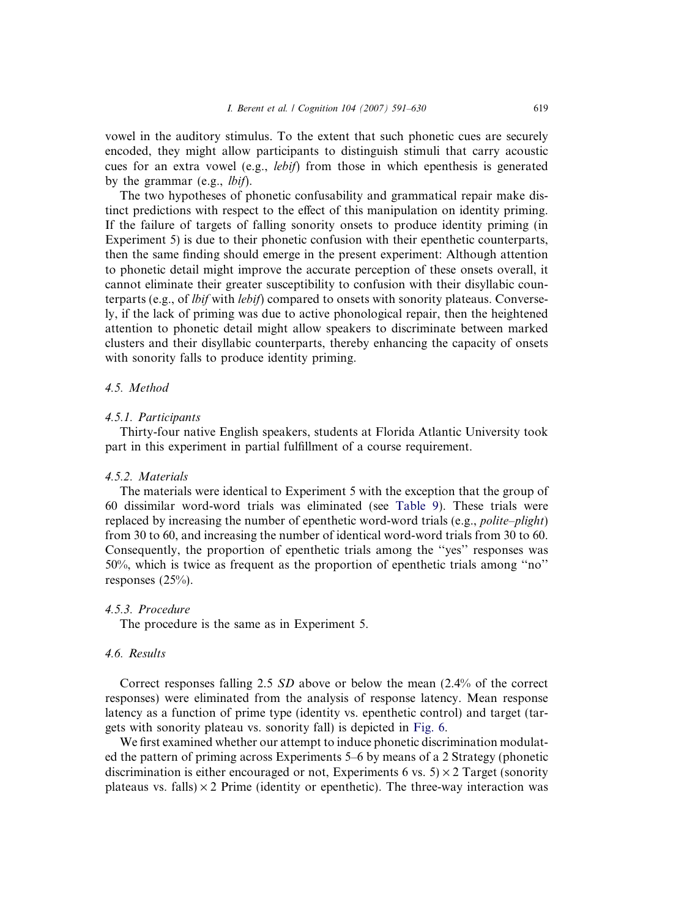vowel in the auditory stimulus. To the extent that such phonetic cues are securely encoded, they might allow participants to distinguish stimuli that carry acoustic cues for an extra vowel (e.g., lebif) from those in which epenthesis is generated by the grammar (e.g., *lbif*).

The two hypotheses of phonetic confusability and grammatical repair make distinct predictions with respect to the effect of this manipulation on identity priming. If the failure of targets of falling sonority onsets to produce identity priming (in Experiment 5) is due to their phonetic confusion with their epenthetic counterparts, then the same finding should emerge in the present experiment: Although attention to phonetic detail might improve the accurate perception of these onsets overall, it cannot eliminate their greater susceptibility to confusion with their disyllabic counterparts (e.g., of *lbif* with *lebif*) compared to onsets with sonority plateaus. Conversely, if the lack of priming was due to active phonological repair, then the heightened attention to phonetic detail might allow speakers to discriminate between marked clusters and their disyllabic counterparts, thereby enhancing the capacity of onsets with sonority falls to produce identity priming.

# 4.5. Method

#### 4.5.1. Participants

Thirty-four native English speakers, students at Florida Atlantic University took part in this experiment in partial fulfillment of a course requirement.

## 4.5.2. Materials

The materials were identical to Experiment 5 with the exception that the group of 60 dissimilar word-word trials was eliminated (see [Table 9](#page-23-0)). These trials were replaced by increasing the number of epenthetic word-word trials (e.g., *polite–plight*) from 30 to 60, and increasing the number of identical word-word trials from 30 to 60. Consequently, the proportion of epenthetic trials among the ''yes'' responses was 50%, which is twice as frequent as the proportion of epenthetic trials among ''no'' responses (25%).

#### 4.5.3. Procedure

The procedure is the same as in Experiment 5.

# 4.6. Results

Correct responses falling 2.5 SD above or below the mean (2.4% of the correct responses) were eliminated from the analysis of response latency. Mean response latency as a function of prime type (identity vs. epenthetic control) and target (targets with sonority plateau vs. sonority fall) is depicted in [Fig. 6.](#page-29-0)

We first examined whether our attempt to induce phonetic discrimination modulated the pattern of priming across Experiments 5–6 by means of a 2 Strategy (phonetic discrimination is either encouraged or not, Experiments 6 vs.  $5 \times 2$  Target (sonority plateaus vs. falls)  $\times$  2 Prime (identity or epenthetic). The three-way interaction was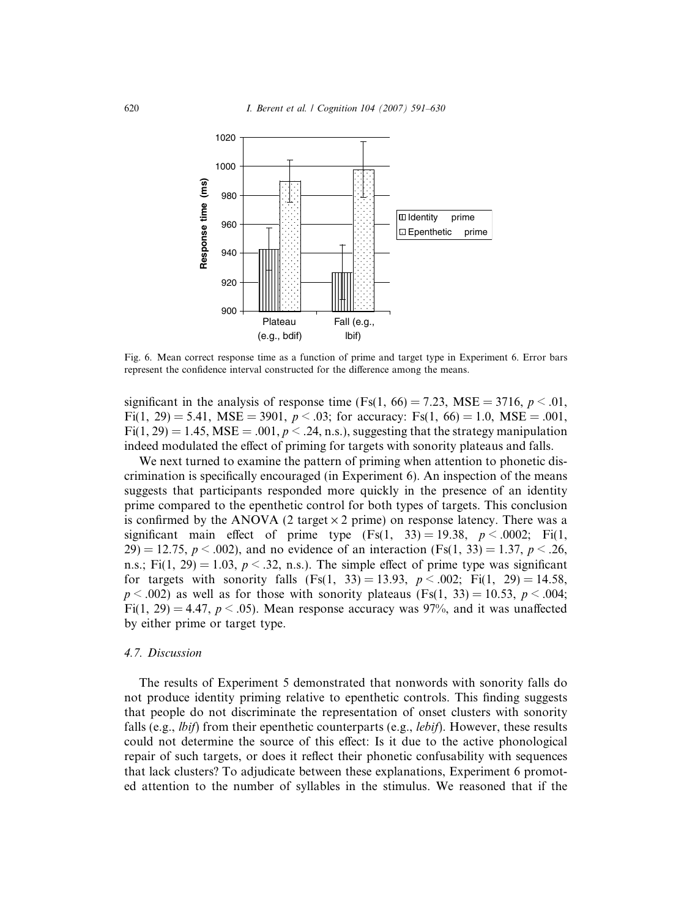<span id="page-29-0"></span>

Fig. 6. Mean correct response time as a function of prime and target type in Experiment 6. Error bars represent the confidence interval constructed for the difference among the means.

significant in the analysis of response time (Fs(1, 66) = 7.23, MSE = 3716,  $p < 0.01$ , Fi(1, 29) = 5.41, MSE = 3901,  $p < .03$ ; for accuracy: Fs(1, 66) = 1.0, MSE = .001,  $Fi(1, 29) = 1.45$ ,  $MSE = .001$ ,  $p < .24$ , n.s.), suggesting that the strategy manipulation indeed modulated the effect of priming for targets with sonority plateaus and falls.

We next turned to examine the pattern of priming when attention to phonetic discrimination is specifically encouraged (in Experiment 6). An inspection of the means suggests that participants responded more quickly in the presence of an identity prime compared to the epenthetic control for both types of targets. This conclusion is confirmed by the ANOVA (2 target  $\times$  2 prime) on response latency. There was a significant main effect of prime type  $(Fs(1, 33) = 19.38, p < .0002; Fi(1,$ 29) = 12.75,  $p < .002$ ), and no evidence of an interaction (Fs(1, 33) = 1.37,  $p < .26$ , n.s.; Fi(1, 29) = 1.03,  $p < 0.32$ , n.s.). The simple effect of prime type was significant for targets with sonority falls  $(Fs(1, 33) = 13.93, p < .002; Fi(1, 29) = 14.58$ ,  $p < .002$ ) as well as for those with sonority plateaus (Fs(1, 33) = 10.53,  $p < .004$ ;  $Fi(1, 29) = 4.47$ ,  $p < .05$ ). Mean response accuracy was 97%, and it was unaffected by either prime or target type.

#### 4.7. Discussion

The results of Experiment 5 demonstrated that nonwords with sonority falls do not produce identity priming relative to epenthetic controls. This finding suggests that people do not discriminate the representation of onset clusters with sonority falls (e.g., *lbif*) from their epenthetic counterparts (e.g., *lebif*). However, these results could not determine the source of this effect: Is it due to the active phonological repair of such targets, or does it reflect their phonetic confusability with sequences that lack clusters? To adjudicate between these explanations, Experiment 6 promoted attention to the number of syllables in the stimulus. We reasoned that if the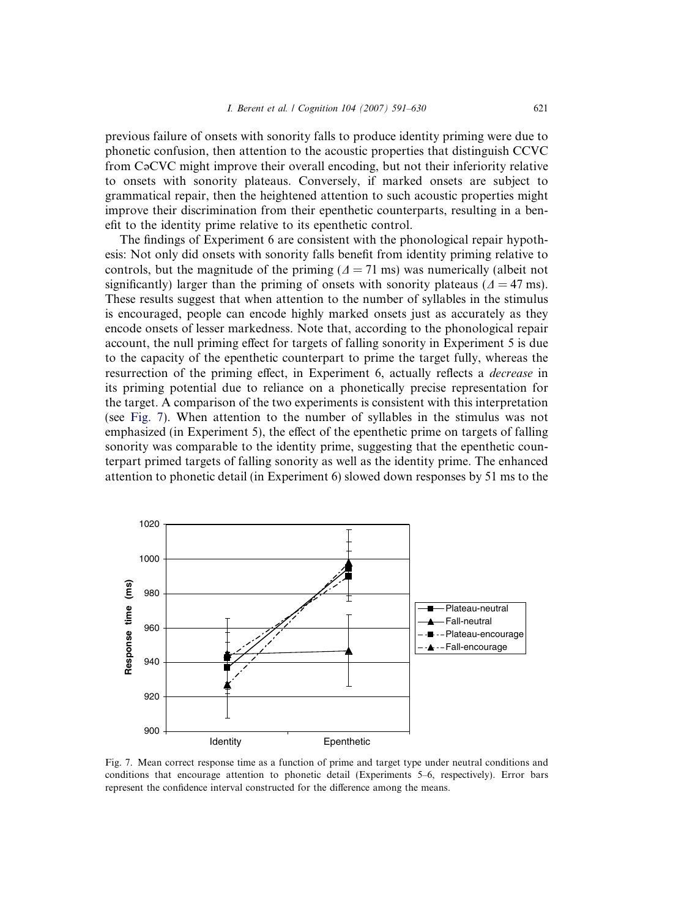previous failure of onsets with sonority falls to produce identity priming were due to phonetic confusion, then attention to the acoustic properties that distinguish CCVC from CECVC might improve their overall encoding, but not their inferiority relative to onsets with sonority plateaus. Conversely, if marked onsets are subject to grammatical repair, then the heightened attention to such acoustic properties might improve their discrimination from their epenthetic counterparts, resulting in a benefit to the identity prime relative to its epenthetic control.

The findings of Experiment 6 are consistent with the phonological repair hypothesis: Not only did onsets with sonority falls benefit from identity priming relative to controls, but the magnitude of the priming ( $\Delta = 71$  ms) was numerically (albeit not significantly) larger than the priming of onsets with sonority plateaus ( $\Delta = 47$  ms). These results suggest that when attention to the number of syllables in the stimulus is encouraged, people can encode highly marked onsets just as accurately as they encode onsets of lesser markedness. Note that, according to the phonological repair account, the null priming effect for targets of falling sonority in Experiment 5 is due to the capacity of the epenthetic counterpart to prime the target fully, whereas the resurrection of the priming effect, in Experiment 6, actually reflects a decrease in its priming potential due to reliance on a phonetically precise representation for the target. A comparison of the two experiments is consistent with this interpretation (see Fig. 7). When attention to the number of syllables in the stimulus was not emphasized (in Experiment 5), the effect of the epenthetic prime on targets of falling sonority was comparable to the identity prime, suggesting that the epenthetic counterpart primed targets of falling sonority as well as the identity prime. The enhanced attention to phonetic detail (in Experiment 6) slowed down responses by 51 ms to the



Fig. 7. Mean correct response time as a function of prime and target type under neutral conditions and conditions that encourage attention to phonetic detail (Experiments 5–6, respectively). Error bars represent the confidence interval constructed for the difference among the means.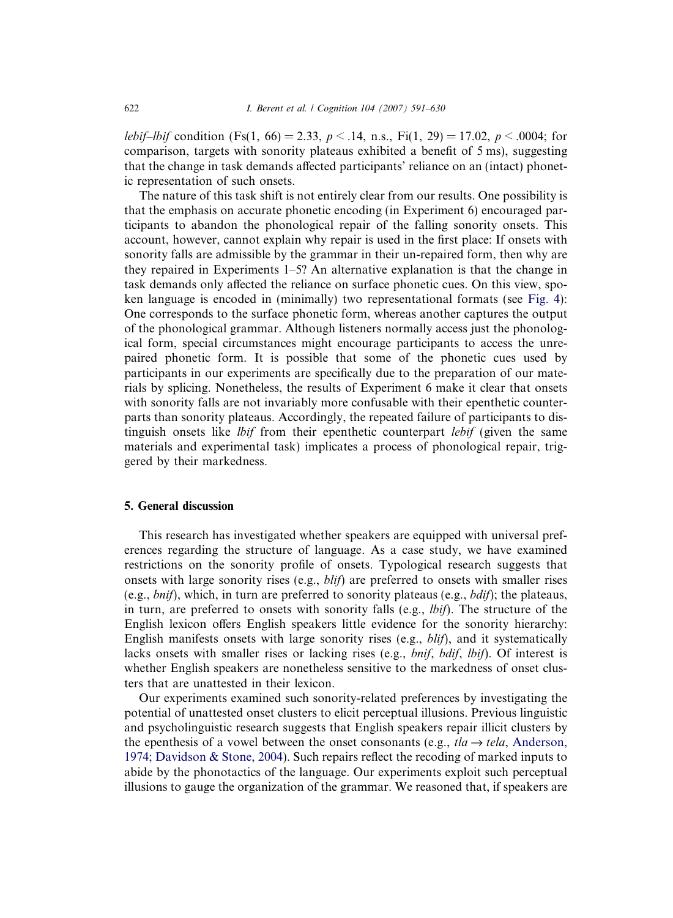*lebif–lbif* condition (Fs(1, 66) = 2.33,  $p < .14$ , n.s., Fi(1, 29) = 17.02,  $p < .0004$ ; for comparison, targets with sonority plateaus exhibited a benefit of 5 ms), suggesting that the change in task demands affected participants' reliance on an (intact) phonetic representation of such onsets.

The nature of this task shift is not entirely clear from our results. One possibility is that the emphasis on accurate phonetic encoding (in Experiment 6) encouraged participants to abandon the phonological repair of the falling sonority onsets. This account, however, cannot explain why repair is used in the first place: If onsets with sonority falls are admissible by the grammar in their un-repaired form, then why are they repaired in Experiments 1–5? An alternative explanation is that the change in task demands only affected the reliance on surface phonetic cues. On this view, spoken language is encoded in (minimally) two representational formats (see [Fig. 4](#page-22-0)): One corresponds to the surface phonetic form, whereas another captures the output of the phonological grammar. Although listeners normally access just the phonological form, special circumstances might encourage participants to access the unrepaired phonetic form. It is possible that some of the phonetic cues used by participants in our experiments are specifically due to the preparation of our materials by splicing. Nonetheless, the results of Experiment 6 make it clear that onsets with sonority falls are not invariably more confusable with their epenthetic counterparts than sonority plateaus. Accordingly, the repeated failure of participants to distinguish onsets like *lbif* from their epenthetic counterpart *lebif* (given the same materials and experimental task) implicates a process of phonological repair, triggered by their markedness.

## 5. General discussion

This research has investigated whether speakers are equipped with universal preferences regarding the structure of language. As a case study, we have examined restrictions on the sonority profile of onsets. Typological research suggests that onsets with large sonority rises (e.g., blif) are preferred to onsets with smaller rises (e.g., bnif), which, in turn are preferred to sonority plateaus (e.g., bdif); the plateaus, in turn, are preferred to onsets with sonority falls (e.g.,  $lbif$ ). The structure of the English lexicon offers English speakers little evidence for the sonority hierarchy: English manifests onsets with large sonority rises (e.g.,  $blif$ ), and it systematically lacks onsets with smaller rises or lacking rises (e.g., bnif, bdif, lbif). Of interest is whether English speakers are nonetheless sensitive to the markedness of onset clusters that are unattested in their lexicon.

Our experiments examined such sonority-related preferences by investigating the potential of unattested onset clusters to elicit perceptual illusions. Previous linguistic and psycholinguistic research suggests that English speakers repair illicit clusters by the epenthesis of a vowel between the onset consonants (e.g.,  $t/a \rightarrow tela$ , [Anderson,](#page-36-0) [1974; Davidson & Stone, 2004\)](#page-36-0). Such repairs reflect the recoding of marked inputs to abide by the phonotactics of the language. Our experiments exploit such perceptual illusions to gauge the organization of the grammar. We reasoned that, if speakers are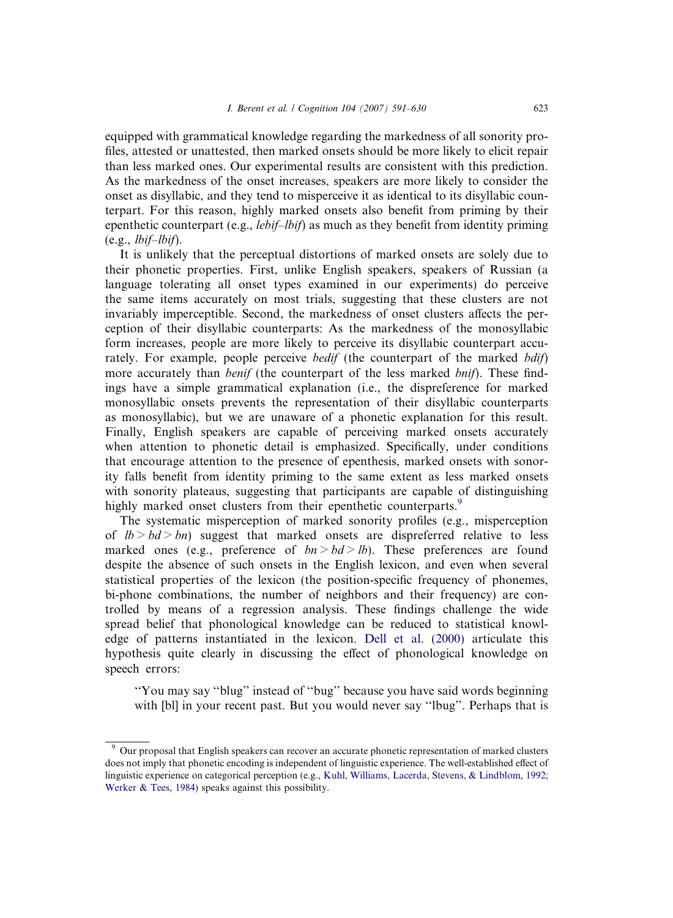equipped with grammatical knowledge regarding the markedness of all sonority profiles, attested or unattested, then marked onsets should be more likely to elicit repair than less marked ones. Our experimental results are consistent with this prediction. As the markedness of the onset increases, speakers are more likely to consider the onset as disyllabic, and they tend to misperceive it as identical to its disyllabic counterpart. For this reason, highly marked onsets also benefit from priming by their epenthetic counterpart (e.g., *lebif–lbif*) as much as they benefit from identity priming  $(e.g., *lbif*–*lbif*).$ 

It is unlikely that the perceptual distortions of marked onsets are solely due to their phonetic properties. First, unlike English speakers, speakers of Russian (a language tolerating all onset types examined in our experiments) do perceive the same items accurately on most trials, suggesting that these clusters are not invariably imperceptible. Second, the markedness of onset clusters affects the perception of their disyllabic counterparts: As the markedness of the monosyllabic form increases, people are more likely to perceive its disyllabic counterpart accurately. For example, people perceive *bedif* (the counterpart of the marked *bdif*) more accurately than *benif* (the counterpart of the less marked *bnif*). These findings have a simple grammatical explanation (i.e., the dispreference for marked monosyllabic onsets prevents the representation of their disyllabic counterparts as monosyllabic), but we are unaware of a phonetic explanation for this result. Finally, English speakers are capable of perceiving marked onsets accurately when attention to phonetic detail is emphasized. Specifically, under conditions that encourage attention to the presence of epenthesis, marked onsets with sonority falls benefit from identity priming to the same extent as less marked onsets with sonority plateaus, suggesting that participants are capable of distinguishing highly marked onset clusters from their epenthetic counterparts.<sup>9</sup>

The systematic misperception of marked sonority profiles (e.g., misperception of  $lb > bd > bn$  suggest that marked onsets are dispreferred relative to less marked ones (e.g., preference of  $bn > bd > lb$ ). These preferences are found despite the absence of such onsets in the English lexicon, and even when several statistical properties of the lexicon (the position-specific frequency of phonemes, bi-phone combinations, the number of neighbors and their frequency) are controlled by means of a regression analysis. These findings challenge the wide spread belief that phonological knowledge can be reduced to statistical knowledge of patterns instantiated in the lexicon. [Dell et al. \(2000\)](#page-37-0) articulate this hypothesis quite clearly in discussing the effect of phonological knowledge on speech errors:

''You may say ''blug'' instead of ''bug'' because you have said words beginning with [bl] in your recent past. But you would never say ''lbug''. Perhaps that is

<sup>9</sup> Our proposal that English speakers can recover an accurate phonetic representation of marked clusters does not imply that phonetic encoding is independent of linguistic experience. The well-established effect of linguistic experience on categorical perception (e.g., [Kuhl, Williams, Lacerda, Stevens, & Lindblom, 1992;](#page-38-0) [Werker & Tees, 1984\)](#page-38-0) speaks against this possibility.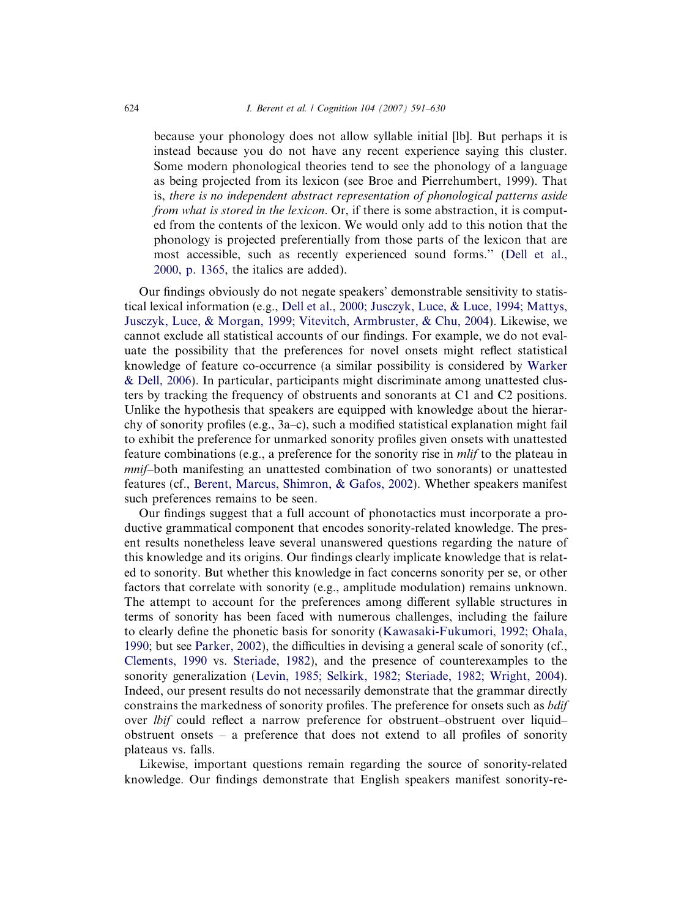because your phonology does not allow syllable initial [lb]. But perhaps it is instead because you do not have any recent experience saying this cluster. Some modern phonological theories tend to see the phonology of a language as being projected from its lexicon (see Broe and Pierrehumbert, 1999). That is, there is no independent abstract representation of phonological patterns aside from what is stored in the lexicon. Or, if there is some abstraction, it is computed from the contents of the lexicon. We would only add to this notion that the phonology is projected preferentially from those parts of the lexicon that are most accessible, such as recently experienced sound forms.'' ([Dell et al.,](#page-37-0) [2000, p. 1365,](#page-37-0) the italics are added).

Our findings obviously do not negate speakers' demonstrable sensitivity to statistical lexical information (e.g., [Dell et al., 2000; Jusczyk, Luce, & Luce, 1994; Mattys,](#page-37-0) [Jusczyk, Luce, & Morgan, 1999; Vitevitch, Armbruster, & Chu, 2004\)](#page-37-0). Likewise, we cannot exclude all statistical accounts of our findings. For example, we do not evaluate the possibility that the preferences for novel onsets might reflect statistical knowledge of feature co-occurrence (a similar possibility is considered by [Warker](#page-39-0) [& Dell, 2006\)](#page-39-0). In particular, participants might discriminate among unattested clusters by tracking the frequency of obstruents and sonorants at C1 and C2 positions. Unlike the hypothesis that speakers are equipped with knowledge about the hierarchy of sonority profiles (e.g.,  $3a-c$ ), such a modified statistical explanation might fail to exhibit the preference for unmarked sonority profiles given onsets with unattested feature combinations (e.g., a preference for the sonority rise in *mlif* to the plateau in mnif–both manifesting an unattested combination of two sonorants) or unattested features (cf., [Berent, Marcus, Shimron, & Gafos, 2002](#page-36-0)). Whether speakers manifest such preferences remains to be seen.

Our findings suggest that a full account of phonotactics must incorporate a productive grammatical component that encodes sonority-related knowledge. The present results nonetheless leave several unanswered questions regarding the nature of this knowledge and its origins. Our findings clearly implicate knowledge that is related to sonority. But whether this knowledge in fact concerns sonority per se, or other factors that correlate with sonority (e.g., amplitude modulation) remains unknown. The attempt to account for the preferences among different syllable structures in terms of sonority has been faced with numerous challenges, including the failure to clearly define the phonetic basis for sonority ([Kawasaki-Fukumori, 1992; Ohala,](#page-37-0) [1990;](#page-37-0) but see [Parker, 2002\)](#page-38-0), the difficulties in devising a general scale of sonority (cf., [Clements, 1990](#page-37-0) vs. [Steriade, 1982](#page-39-0)), and the presence of counterexamples to the sonority generalization [\(Levin, 1985; Selkirk, 1982; Steriade, 1982; Wright, 2004](#page-38-0)). Indeed, our present results do not necessarily demonstrate that the grammar directly constrains the markedness of sonority profiles. The preference for onsets such as bdif over lbif could reflect a narrow preference for obstruent–obstruent over liquid– obstruent onsets – a preference that does not extend to all profiles of sonority plateaus vs. falls.

Likewise, important questions remain regarding the source of sonority-related knowledge. Our findings demonstrate that English speakers manifest sonority-re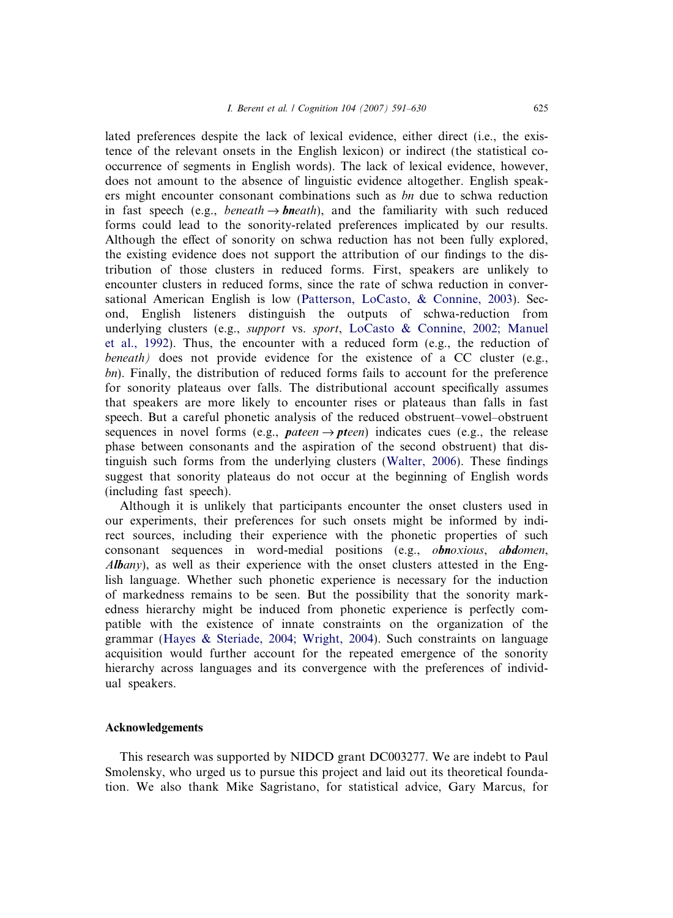lated preferences despite the lack of lexical evidence, either direct (i.e., the existence of the relevant onsets in the English lexicon) or indirect (the statistical cooccurrence of segments in English words). The lack of lexical evidence, however, does not amount to the absence of linguistic evidence altogether. English speakers might encounter consonant combinations such as bn due to schwa reduction in fast speech (e.g., *beneath*  $\rightarrow$  *bneath*), and the familiarity with such reduced forms could lead to the sonority-related preferences implicated by our results. Although the effect of sonority on schwa reduction has not been fully explored, the existing evidence does not support the attribution of our findings to the distribution of those clusters in reduced forms. First, speakers are unlikely to encounter clusters in reduced forms, since the rate of schwa reduction in conversational American English is low ([Patterson, LoCasto, & Connine, 2003\)](#page-38-0). Second, English listeners distinguish the outputs of schwa-reduction from underlying clusters (e.g., support vs. sport, [LoCasto & Connine, 2002; Manuel](#page-38-0) [et al., 1992\)](#page-38-0). Thus, the encounter with a reduced form (e.g., the reduction of beneath) does not provide evidence for the existence of a CC cluster (e.g.,  $b_n$ ). Finally, the distribution of reduced forms fails to account for the preference for sonority plateaus over falls. The distributional account specifically assumes that speakers are more likely to encounter rises or plateaus than falls in fast speech. But a careful phonetic analysis of the reduced obstruent–vowel–obstruent sequences in novel forms (e.g., *pateen*  $\rightarrow$  *pteen*) indicates cues (e.g., the release phase between consonants and the aspiration of the second obstruent) that distinguish such forms from the underlying clusters ([Walter, 2006](#page-39-0)). These findings suggest that sonority plateaus do not occur at the beginning of English words (including fast speech).

Although it is unlikely that participants encounter the onset clusters used in our experiments, their preferences for such onsets might be informed by indirect sources, including their experience with the phonetic properties of such consonant sequences in word-medial positions (e.g., *obnoxious*, *abdomen*, Albany), as well as their experience with the onset clusters attested in the English language. Whether such phonetic experience is necessary for the induction of markedness remains to be seen. But the possibility that the sonority markedness hierarchy might be induced from phonetic experience is perfectly compatible with the existence of innate constraints on the organization of the grammar [\(Hayes & Steriade, 2004; Wright, 2004](#page-37-0)). Such constraints on language acquisition would further account for the repeated emergence of the sonority hierarchy across languages and its convergence with the preferences of individual speakers.

#### Acknowledgements

This research was supported by NIDCD grant DC003277. We are indebt to Paul Smolensky, who urged us to pursue this project and laid out its theoretical foundation. We also thank Mike Sagristano, for statistical advice, Gary Marcus, for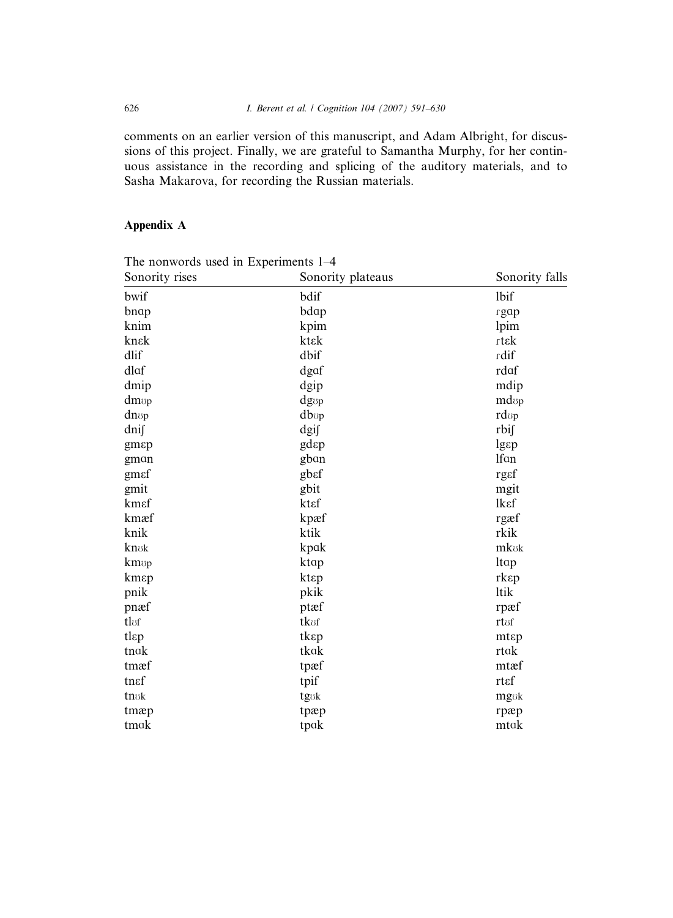<span id="page-35-0"></span>comments on an earlier version of this manuscript, and Adam Albright, for discussions of this project. Finally, we are grateful to Samantha Murphy, for her continuous assistance in the recording and splicing of the auditory materials, and to Sasha Makarova, for recording the Russian materials.

# Appendix A

| Sonority rises   | Sonority plateaus | Sonority falls |  |  |
|------------------|-------------------|----------------|--|--|
| bwif             | bdif              | <b>lbif</b>    |  |  |
| bnap             | bdap              | rgap           |  |  |
| knim             | kpim              | lpim           |  |  |
| knek             | ktεk              | rtsk           |  |  |
| dlif             | dbif              | rdif           |  |  |
| dlaf             | dgaf              | rdaf           |  |  |
| dmip             | dgip              | mdip           |  |  |
| dmop             | dgop              | mdop           |  |  |
| dnop             | dbop              | rdop           |  |  |
| dnif             | dgif              | rbif           |  |  |
| gmep             | gdεp              | lgsp           |  |  |
| gman             | gban              | lfan           |  |  |
| gmef             | gbef              | rgef           |  |  |
| gmit             | gbit              | mgit           |  |  |
| kmef             | ktef              | lkεf           |  |  |
| kmæf             | kpæf              | rgæf           |  |  |
| knik             | ktik              | rkik           |  |  |
| knok             | kpak              | mkok           |  |  |
| km <sub>op</sub> | ktap              | ltap           |  |  |
| kmep             | ktεp              | rkεp           |  |  |
| pnik             | pkik              | ltik           |  |  |
| pnæf             | ptæf              | rpæf           |  |  |
| tlof             | tkof              | rtof           |  |  |
| tlεp             | tkεp              | mtεp           |  |  |
| tnak             | tkak              | rtak           |  |  |
| tmæf             | tpæf              | mtæf           |  |  |
| tnef             | tpif              | rtsf           |  |  |
| tnok             | tgok              | mgok           |  |  |
| tmæp             | tpæp              | rpæp           |  |  |
| tmak             | tpak              | mtak           |  |  |

The nonwords used in Experiments 1–4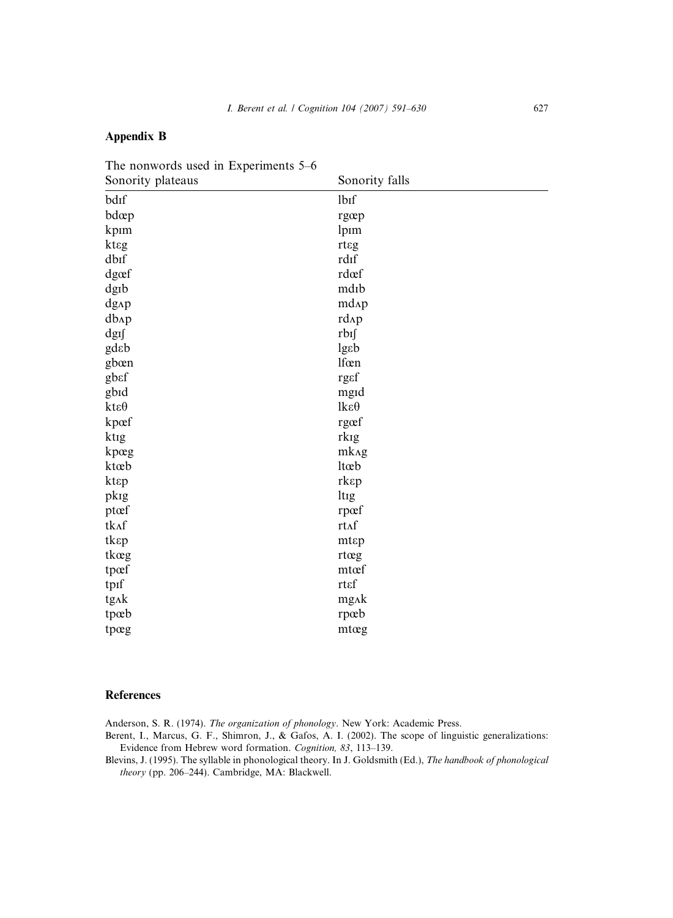# <span id="page-36-0"></span>Appendix B

| The nonwords used in Experiments 5–6 |                    |
|--------------------------------------|--------------------|
| Sonority plateaus                    | Sonority falls     |
| bdıf                                 | lbıf               |
| bdœp                                 | rgœp               |
| kpim                                 | lpim               |
| ktεg                                 | rtεg               |
| dbif                                 | rdıf               |
| dgœf                                 | rdœf               |
| dgib                                 | mdib               |
| dgAp                                 | md <sub>A</sub> p  |
| db <sub>A</sub> p                    | rd <sub>A</sub> p  |
| dgī∫                                 | rb                 |
| gdeb                                 | lgeb               |
| gbœn                                 | lfœn               |
| gbef                                 | rgef               |
| gbid                                 | mgid               |
| $kte\theta$                          | $1k\epsilon\theta$ |
| kpœf                                 | rgœf               |
| ktig                                 | rkig               |
| kpœg                                 | mk^g               |
| ktœb                                 | ltæb               |
| ktεp                                 | rkεp               |
| pkig                                 | ltıg               |
| ptœf                                 | rpœf               |
| tkaf                                 | rtaf               |
| tkεp                                 | mtεp               |
| tkœg                                 | rtœg               |
| tpœf                                 | mtœf               |
| tpif                                 | rtεf               |
| tgak                                 | mg <sub>A</sub> k  |
| tpœb                                 | rpœb               |
| tpœg                                 | mtœg               |
|                                      |                    |

## References

Anderson, S. R. (1974). The organization of phonology. New York: Academic Press.

- Berent, I., Marcus, G. F., Shimron, J., & Gafos, A. I. (2002). The scope of linguistic generalizations: Evidence from Hebrew word formation. Cognition, 83, 113–139.
- Blevins, J. (1995). The syllable in phonological theory. In J. Goldsmith (Ed.), The handbook of phonological theory (pp. 206–244). Cambridge, MA: Blackwell.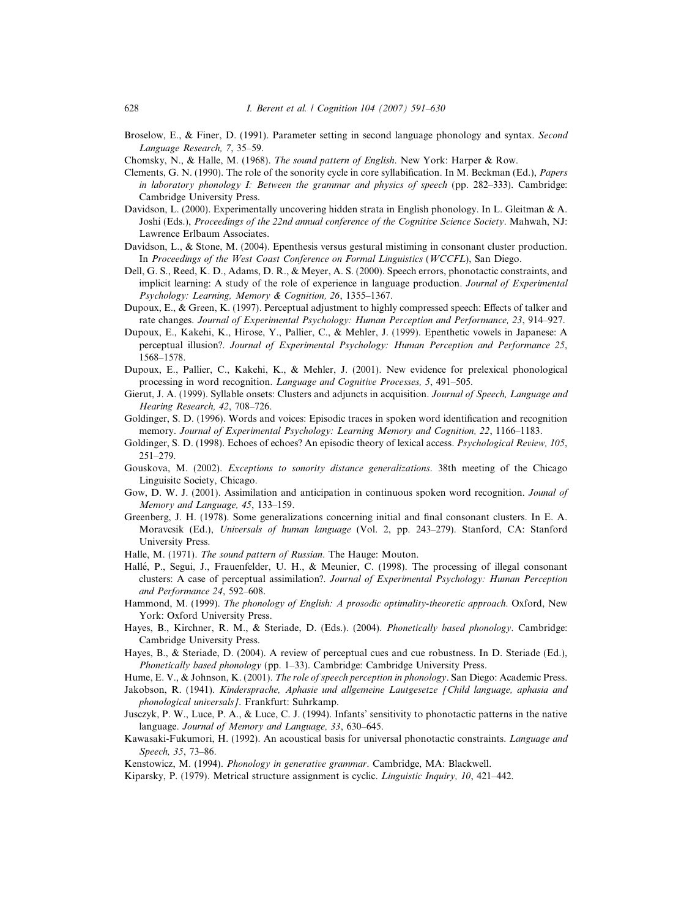- <span id="page-37-0"></span>Broselow, E., & Finer, D. (1991). Parameter setting in second language phonology and syntax. Second Language Research, 7, 35–59.
- Chomsky, N., & Halle, M. (1968). The sound pattern of English. New York: Harper & Row.
- Clements, G. N. (1990). The role of the sonority cycle in core syllabification. In M. Beckman (Ed.), Papers in laboratory phonology I: Between the grammar and physics of speech (pp. 282-333). Cambridge: Cambridge University Press.
- Davidson, L. (2000). Experimentally uncovering hidden strata in English phonology. In L. Gleitman & A. Joshi (Eds.), Proceedings of the 22nd annual conference of the Cognitive Science Society. Mahwah, NJ: Lawrence Erlbaum Associates.
- Davidson, L., & Stone, M. (2004). Epenthesis versus gestural mistiming in consonant cluster production. In Proceedings of the West Coast Conference on Formal Linguistics (WCCFL), San Diego.
- Dell, G. S., Reed, K. D., Adams, D. R., & Meyer, A. S. (2000). Speech errors, phonotactic constraints, and implicit learning: A study of the role of experience in language production. Journal of Experimental Psychology: Learning, Memory & Cognition, 26, 1355–1367.
- Dupoux, E., & Green, K. (1997). Perceptual adjustment to highly compressed speech: Effects of talker and rate changes. Journal of Experimental Psychology: Human Perception and Performance, 23, 914–927.
- Dupoux, E., Kakehi, K., Hirose, Y., Pallier, C., & Mehler, J. (1999). Epenthetic vowels in Japanese: A perceptual illusion?. Journal of Experimental Psychology: Human Perception and Performance 25, 1568–1578.
- Dupoux, E., Pallier, C., Kakehi, K., & Mehler, J. (2001). New evidence for prelexical phonological processing in word recognition. Language and Cognitive Processes, 5, 491–505.
- Gierut, J. A. (1999). Syllable onsets: Clusters and adjuncts in acquisition. Journal of Speech, Language and Hearing Research, 42, 708–726.
- Goldinger, S. D. (1996). Words and voices: Episodic traces in spoken word identification and recognition memory. Journal of Experimental Psychology: Learning Memory and Cognition, 22, 1166–1183.
- Goldinger, S. D. (1998). Echoes of echoes? An episodic theory of lexical access. *Psychological Review*, 105, 251–279.
- Gouskova, M. (2002). Exceptions to sonority distance generalizations. 38th meeting of the Chicago Linguisitc Society, Chicago.
- Gow, D. W. J. (2001). Assimilation and anticipation in continuous spoken word recognition. *Jounal of* Memory and Language, 45, 133–159.
- Greenberg, J. H. (1978). Some generalizations concerning initial and final consonant clusters. In E. A. Moravcsik (Ed.), Universals of human language (Vol. 2, pp. 243–279). Stanford, CA: Stanford University Press.
- Halle, M. (1971). The sound pattern of Russian. The Hauge: Mouton.
- Hallé, P., Segui, J., Frauenfelder, U. H., & Meunier, C. (1998). The processing of illegal consonant clusters: A case of perceptual assimilation?. Journal of Experimental Psychology: Human Perception and Performance 24, 592–608.
- Hammond, M. (1999). The phonology of English: A prosodic optimality-theoretic approach. Oxford, New York: Oxford University Press.
- Hayes, B., Kirchner, R. M., & Steriade, D. (Eds.). (2004). Phonetically based phonology. Cambridge: Cambridge University Press.
- Hayes, B., & Steriade, D. (2004). A review of perceptual cues and cue robustness. In D. Steriade (Ed.), Phonetically based phonology (pp. 1–33). Cambridge: Cambridge University Press.

Hume, E. V., & Johnson, K. (2001). The role of speech perception in phonology. San Diego: Academic Press.

- Jakobson, R. (1941). Kindersprache, Aphasie und allgemeine Lautgesetze [Child language, aphasia and phonological universals]. Frankfurt: Suhrkamp.
- Jusczyk, P. W., Luce, P. A., & Luce, C. J. (1994). Infants' sensitivity to phonotactic patterns in the native language. Journal of Memory and Language, 33, 630–645.
- Kawasaki-Fukumori, H. (1992). An acoustical basis for universal phonotactic constraints. Language and Speech, 35, 73–86.
- Kenstowicz, M. (1994). Phonology in generative grammar. Cambridge, MA: Blackwell.
- Kiparsky, P. (1979). Metrical structure assignment is cyclic. Linguistic Inquiry, 10, 421–442.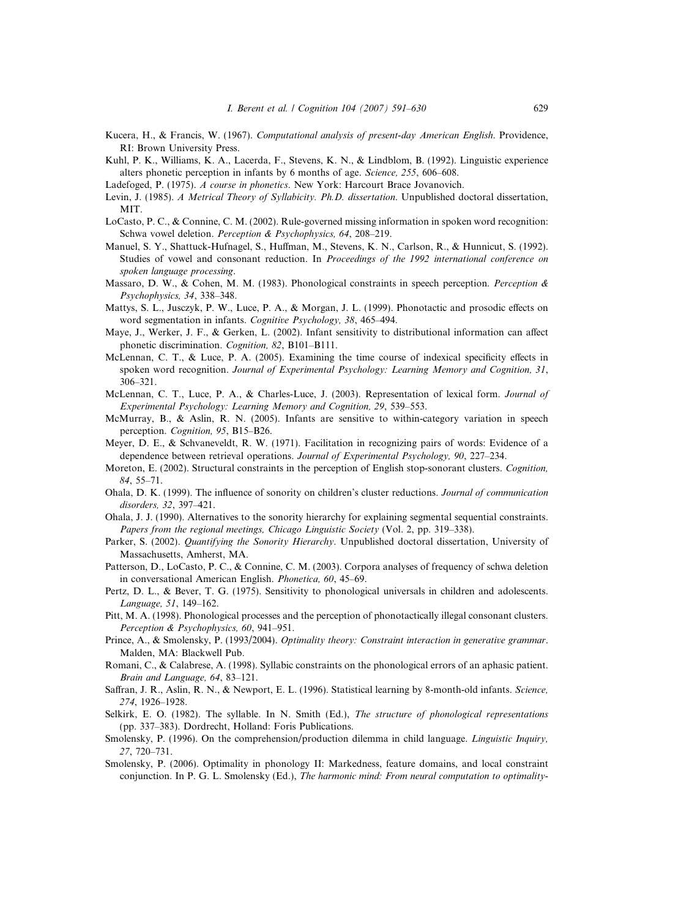- <span id="page-38-0"></span>Kucera, H., & Francis, W. (1967). Computational analysis of present-day American English. Providence, RI: Brown University Press.
- Kuhl, P. K., Williams, K. A., Lacerda, F., Stevens, K. N., & Lindblom, B. (1992). Linguistic experience alters phonetic perception in infants by 6 months of age. Science, 255, 606–608.
- Ladefoged, P. (1975). A course in phonetics. New York: Harcourt Brace Jovanovich.
- Levin, J. (1985). A Metrical Theory of Syllabicity. Ph.D. dissertation. Unpublished doctoral dissertation, MIT.
- LoCasto, P. C., & Connine, C. M. (2002). Rule-governed missing information in spoken word recognition: Schwa vowel deletion. Perception & Psychophysics, 64, 208-219.
- Manuel, S. Y., Shattuck-Hufnagel, S., Huffman, M., Stevens, K. N., Carlson, R., & Hunnicut, S. (1992). Studies of vowel and consonant reduction. In Proceedings of the 1992 international conference on spoken language processing.
- Massaro, D. W., & Cohen, M. M. (1983). Phonological constraints in speech perception. *Perception* & Psychophysics, 34, 338–348.
- Mattys, S. L., Jusczyk, P. W., Luce, P. A., & Morgan, J. L. (1999). Phonotactic and prosodic effects on word segmentation in infants. Cognitive Psychology, 38, 465–494.
- Maye, J., Werker, J. F., & Gerken, L. (2002). Infant sensitivity to distributional information can affect phonetic discrimination. Cognition, 82, B101–B111.
- McLennan, C. T., & Luce, P. A. (2005). Examining the time course of indexical specificity effects in spoken word recognition. Journal of Experimental Psychology: Learning Memory and Cognition, 31, 306–321.
- McLennan, C. T., Luce, P. A., & Charles-Luce, J. (2003). Representation of lexical form. Journal of Experimental Psychology: Learning Memory and Cognition, 29, 539–553.
- McMurray, B., & Aslin, R. N. (2005). Infants are sensitive to within-category variation in speech perception. Cognition, 95, B15–B26.
- Meyer, D. E., & Schvaneveldt, R. W. (1971). Facilitation in recognizing pairs of words: Evidence of a dependence between retrieval operations. Journal of Experimental Psychology, 90, 227–234.
- Moreton, E. (2002). Structural constraints in the perception of English stop-sonorant clusters. Cognition, 84, 55–71.
- Ohala, D. K. (1999). The influence of sonority on children's cluster reductions. Journal of communication disorders, 32, 397–421.
- Ohala, J. J. (1990). Alternatives to the sonority hierarchy for explaining segmental sequential constraints. Papers from the regional meetings, Chicago Linguistic Society (Vol. 2, pp. 319–338).
- Parker, S. (2002). Quantifying the Sonority Hierarchy. Unpublished doctoral dissertation, University of Massachusetts, Amherst, MA.
- Patterson, D., LoCasto, P. C., & Connine, C. M. (2003). Corpora analyses of frequency of schwa deletion in conversational American English. Phonetica, 60, 45–69.
- Pertz, D. L., & Bever, T. G. (1975). Sensitivity to phonological universals in children and adolescents. Language, 51, 149–162.
- Pitt, M. A. (1998). Phonological processes and the perception of phonotactically illegal consonant clusters. Perception & Psychophysics, 60, 941–951.
- Prince, A., & Smolensky, P. (1993/2004). Optimality theory: Constraint interaction in generative grammar. Malden, MA: Blackwell Pub.
- Romani, C., & Calabrese, A. (1998). Syllabic constraints on the phonological errors of an aphasic patient. Brain and Language, 64, 83–121.
- Saffran, J. R., Aslin, R. N., & Newport, E. L. (1996). Statistical learning by 8-month-old infants. Science, 274, 1926–1928.
- Selkirk, E. O. (1982). The syllable. In N. Smith (Ed.), The structure of phonological representations (pp. 337–383). Dordrecht, Holland: Foris Publications.
- Smolensky, P. (1996). On the comprehension/production dilemma in child language. *Linguistic Inquiry*, 27, 720–731.
- Smolensky, P. (2006). Optimality in phonology II: Markedness, feature domains, and local constraint conjunction. In P. G. L. Smolensky (Ed.), The harmonic mind: From neural computation to optimality-